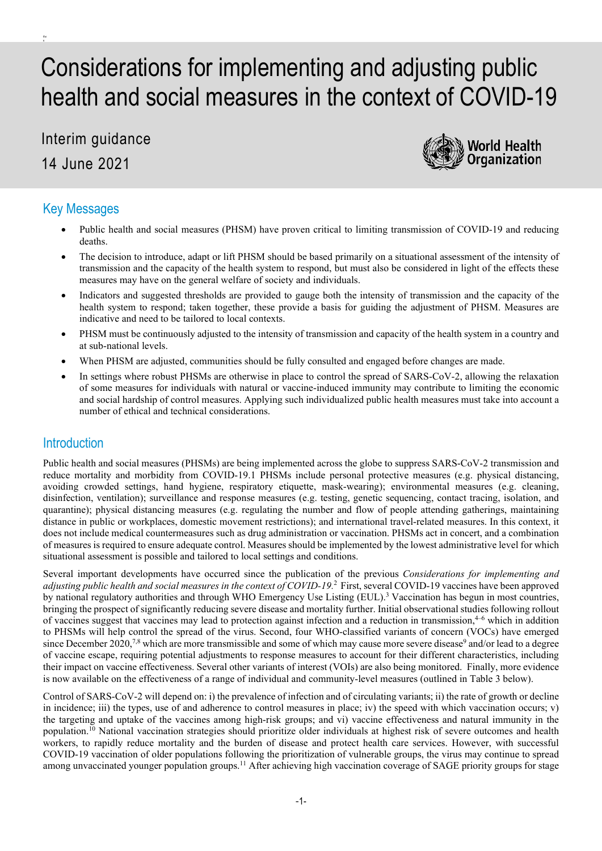# Considerations for implementing and adjusting public health and social measures in the context of COVID-19

Interim guidance 14 June 2021



# Key Messages

the n

- Public health and social measures (PHSM) have proven critical to limiting transmission of COVID-19 and reducing deaths.
- The decision to introduce, adapt or lift PHSM should be based primarily on a situational assessment of the intensity of transmission and the capacity of the health system to respond, but must also be considered in light of the effects these measures may have on the general welfare of society and individuals.
- Indicators and suggested thresholds are provided to gauge both the intensity of transmission and the capacity of the health system to respond; taken together, these provide a basis for guiding the adjustment of PHSM. Measures are indicative and need to be tailored to local contexts.
- PHSM must be continuously adjusted to the intensity of transmission and capacity of the health system in a country and at sub-national levels.
- When PHSM are adjusted, communities should be fully consulted and engaged before changes are made.
- In settings where robust PHSMs are otherwise in place to control the spread of SARS-CoV-2, allowing the relaxation of some measures for individuals with natural or vaccine-induced immunity may contribute to limiting the economic and social hardship of control measures. Applying such individualized public health measures must take into account a number of ethical and technical considerations.

## **Introduction**

Public health and social measures (PHSMs) are being implemented across the globe to suppress SARS-CoV-2 transmission and reduce mortality and morbidity from COVID-19.1 PHSMs include personal protective measures (e.g. physical distancing, avoiding crowded settings, hand hygiene, respiratory etiquette, mask-wearing); environmental measures (e.g. cleaning, disinfection, ventilation); surveillance and response measures (e.g. testing, genetic sequencing, contact tracing, isolation, and quarantine); physical distancing measures (e.g. regulating the number and flow of people attending gatherings, maintaining distance in public or workplaces, domestic movement restrictions); and international travel-related measures. In this context, it does not include medical countermeasures such as drug administration or vaccination. PHSMs act in concert, and a combination of measures is required to ensure adequate control. Measures should be implemented by the lowest administrative level for which situational assessment is possible and tailored to local settings and conditions.

Several important developments have occurred since the publication of the previous *Considerations for implementing and adjusting public health and social measures in the context of COVID-19.* <sup>2</sup> First, several COVID-19 vaccines have been approved by national regulatory authorities and through WHO Emergency Use Listing (EUL).<sup>3</sup> Vaccination has begun in most countries, bringing the prospect of significantly reducing severe disease and mortality further. Initial observational studies following rollout of vaccines suggest that vaccines may lead to protection against infection and a reduction in transmission,4–6 which in addition to PHSMs will help control the spread of the virus. Second, four WHO-classified variants of concern (VOCs) have emerged since December 2020,<sup>7,8</sup> which are more transmissible and some of which may cause more severe disease<sup>9</sup> and/or lead to a degree of vaccine escape, requiring potential adjustments to response measures to account for their different characteristics, including their impact on vaccine effectiveness. Several other variants of interest (VOIs) are also being monitored. Finally, more evidence is now available on the effectiveness of a range of individual and community-level measures (outlined in Table 3 below).

Control of SARS-CoV-2 will depend on: i) the prevalence of infection and of circulating variants; ii) the rate of growth or decline in incidence; iii) the types, use of and adherence to control measures in place; iv) the speed with which vaccination occurs; v) the targeting and uptake of the vaccines among high-risk groups; and vi) vaccine effectiveness and natural immunity in the population. <sup>10</sup> National vaccination strategies should prioritize older individuals at highest risk of severe outcomes and health workers, to rapidly reduce mortality and the burden of disease and protect health care services. However, with successful COVID-19 vaccination of older populations following the prioritization of vulnerable groups, the virus may continue to spread among unvaccinated younger population groups.<sup>11</sup> After achieving high vaccination coverage of SAGE priority groups for stage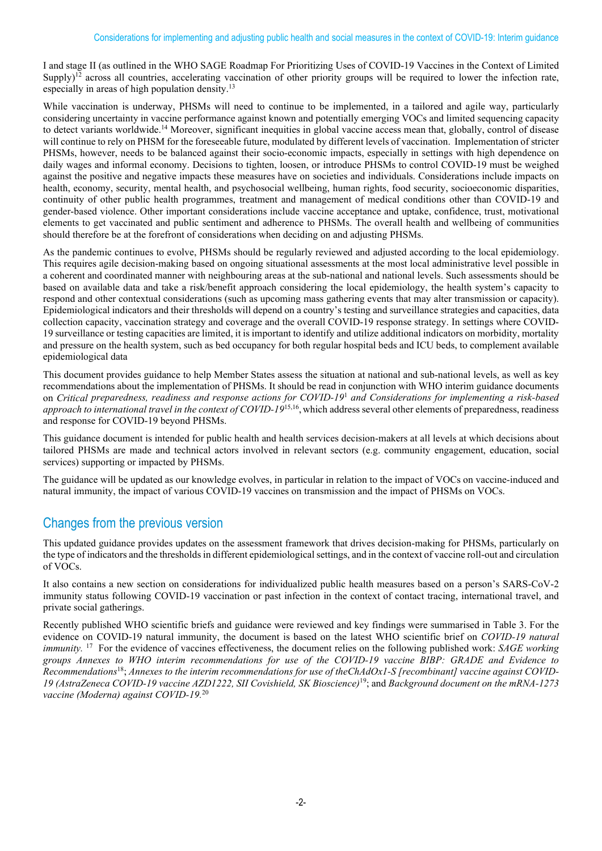I and stage II (as outlined in the WHO SAGE Roadmap For Prioritizing Uses of COVID-19 Vaccines in the Context of Limited Supply)<sup>12</sup> across all countries, accelerating vaccination of other priority groups will be required to lower the infection rate, especially in areas of high population density.<sup>13</sup>

While vaccination is underway, PHSMs will need to continue to be implemented, in a tailored and agile way, particularly considering uncertainty in vaccine performance against known and potentially emerging VOCs and limited sequencing capacity to detect variants worldwide.<sup>14</sup> Moreover, significant inequities in global vaccine access mean that, globally, control of disease will continue to rely on PHSM for the foreseeable future, modulated by different levels of vaccination. Implementation of stricter PHSMs, however, needs to be balanced against their socio-economic impacts, especially in settings with high dependence on daily wages and informal economy. Decisions to tighten, loosen, or introduce PHSMs to control COVID-19 must be weighed against the positive and negative impacts these measures have on societies and individuals. Considerations include impacts on health, economy, security, mental health, and psychosocial wellbeing, human rights, food security, socioeconomic disparities, continuity of other public health programmes, treatment and management of medical conditions other than COVID-19 and gender-based violence. Other important considerations include vaccine acceptance and uptake, confidence, trust, motivational elements to get vaccinated and public sentiment and adherence to PHSMs. The overall health and wellbeing of communities should therefore be at the forefront of considerations when deciding on and adjusting PHSMs.

As the pandemic continues to evolve, PHSMs should be regularly reviewed and adjusted according to the local epidemiology. This requires agile decision-making based on ongoing situational assessments at the most local administrative level possible in a coherent and coordinated manner with neighbouring areas at the sub-national and national levels. Such assessments should be based on available data and take a risk/benefit approach considering the local epidemiology, the health system's capacity to respond and other contextual considerations (such as upcoming mass gathering events that may alter transmission or capacity). Epidemiological indicators and their thresholds will depend on a country's testing and surveillance strategies and capacities, data collection capacity, vaccination strategy and coverage and the overall COVID-19 response strategy. In settings where COVID-19 surveillance or testing capacities are limited, it is important to identify and utilize additional indicators on morbidity, mortality and pressure on the health system, such as bed occupancy for both regular hospital beds and ICU beds, to complement available epidemiological data

This document provides guidance to help Member States assess the situation at national and sub-national levels, as well as key recommendations about the implementation of PHSMs. It should be read in conjunction with WHO interim guidance documents on *Critical preparedness, readiness and response actions for COVID-19*<sup>1</sup> *and Considerations for implementing a risk-based approach to international travel in the context of COVID-19*<sup>15,16</sup>, which address several other elements of preparedness, readiness and response for COVID-19 beyond PHSMs.

This guidance document is intended for public health and health services decision-makers at all levels at which decisions about tailored PHSMs are made and technical actors involved in relevant sectors (e.g. community engagement, education, social services) supporting or impacted by PHSMs.

The guidance will be updated as our knowledge evolves, in particular in relation to the impact of VOCs on vaccine-induced and natural immunity, the impact of various COVID-19 vaccines on transmission and the impact of PHSMs on VOCs.

# Changes from the previous version

This updated guidance provides updates on the assessment framework that drives decision-making for PHSMs, particularly on the type of indicators and the thresholds in different epidemiological settings, and in the context of vaccine roll-out and circulation of VOCs.

It also contains a new section on considerations for individualized public health measures based on a person's SARS-CoV-2 immunity status following COVID-19 vaccination or past infection in the context of contact tracing, international travel, and private social gatherings.

Recently published WHO scientific briefs and guidance were reviewed and key findings were summarised in Table 3. For the evidence on COVID-19 natural immunity, the document is based on the latest WHO scientific brief on *COVID-19 natural immunity.* <sup>17</sup> For the evidence of vaccines effectiveness, the document relies on the following published work: *SAGE working groups Annexes to WHO interim recommendations for use of the COVID-19 vaccine BIBP: GRADE and Evidence to Recommendations*18; *Annexes to the interim recommendations for use of theChAdOx1-S [recombinant] vaccine against COVID-19 (AstraZeneca COVID-19 vaccine AZD1222, SII Covishield, SK Bioscience)*19; and *Background document on the mRNA-1273 vaccine (Moderna) against COVID-19.* 20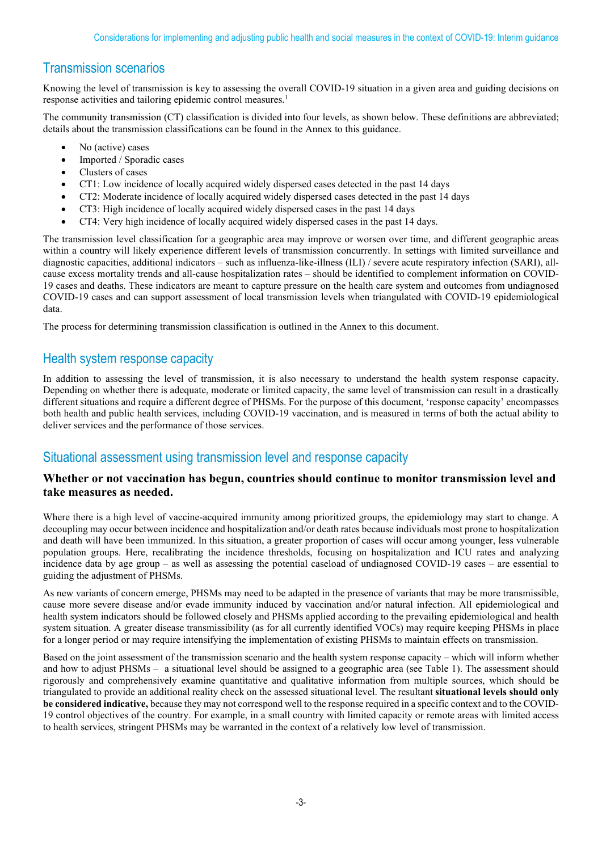# Transmission scenarios

Knowing the level of transmission is key to assessing the overall COVID-19 situation in a given area and guiding decisions on response activities and tailoring epidemic control measures.<sup>1</sup>

The community transmission (CT) classification is divided into four levels, as shown below. These definitions are abbreviated; details about the transmission classifications can be found in the Annex to this guidance.

- No (active) cases
- Imported / Sporadic cases
- Clusters of cases
- CT1: Low incidence of locally acquired widely dispersed cases detected in the past 14 days
- CT2: Moderate incidence of locally acquired widely dispersed cases detected in the past 14 days
- CT3: High incidence of locally acquired widely dispersed cases in the past 14 days
- CT4: Very high incidence of locally acquired widely dispersed cases in the past 14 days.

The transmission level classification for a geographic area may improve or worsen over time, and different geographic areas within a country will likely experience different levels of transmission concurrently. In settings with limited surveillance and diagnostic capacities, additional indicators – such as influenza-like-illness (ILI) / severe acute respiratory infection (SARI), allcause excess mortality trends and all-cause hospitalization rates – should be identified to complement information on COVID-19 cases and deaths. These indicators are meant to capture pressure on the health care system and outcomes from undiagnosed COVID-19 cases and can support assessment of local transmission levels when triangulated with COVID-19 epidemiological data.

The process for determining transmission classification is outlined in the Annex to this document.

## Health system response capacity

In addition to assessing the level of transmission, it is also necessary to understand the health system response capacity. Depending on whether there is adequate, moderate or limited capacity, the same level of transmission can result in a drastically different situations and require a different degree of PHSMs. For the purpose of this document, 'response capacity' encompasses both health and public health services, including COVID-19 vaccination, and is measured in terms of both the actual ability to deliver services and the performance of those services.

## Situational assessment using transmission level and response capacity

#### **Whether or not vaccination has begun, countries should continue to monitor transmission level and take measures as needed.**

Where there is a high level of vaccine-acquired immunity among prioritized groups, the epidemiology may start to change. A decoupling may occur between incidence and hospitalization and/or death rates because individuals most prone to hospitalization and death will have been immunized. In this situation, a greater proportion of cases will occur among younger, less vulnerable population groups. Here, recalibrating the incidence thresholds, focusing on hospitalization and ICU rates and analyzing incidence data by age group – as well as assessing the potential caseload of undiagnosed COVID-19 cases – are essential to guiding the adjustment of PHSMs.

As new variants of concern emerge, PHSMs may need to be adapted in the presence of variants that may be more transmissible, cause more severe disease and/or evade immunity induced by vaccination and/or natural infection. All epidemiological and health system indicators should be followed closely and PHSMs applied according to the prevailing epidemiological and health system situation. A greater disease transmissibility (as for all currently identified VOCs) may require keeping PHSMs in place for a longer period or may require intensifying the implementation of existing PHSMs to maintain effects on transmission.

Based on the joint assessment of the transmission scenario and the health system response capacity – which will inform whether and how to adjust PHSMs – a situational level should be assigned to a geographic area (see Table 1). The assessment should rigorously and comprehensively examine quantitative and qualitative information from multiple sources, which should be triangulated to provide an additional reality check on the assessed situational level. The resultant **situational levels should only be considered indicative,** because they may not correspond well to the response required in a specific context and to the COVID-19 control objectives of the country. For example, in a small country with limited capacity or remote areas with limited access to health services, stringent PHSMs may be warranted in the context of a relatively low level of transmission.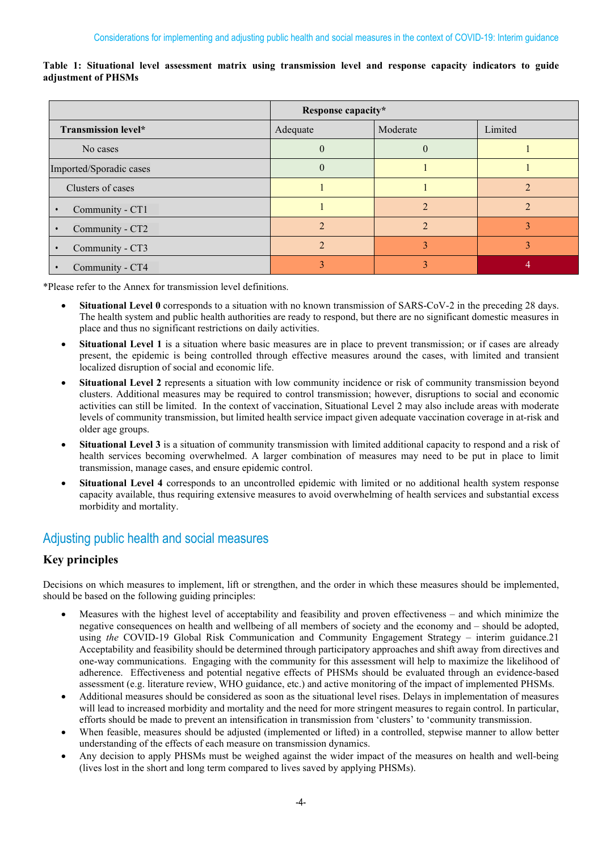|                         | Response capacity* |          |         |  |
|-------------------------|--------------------|----------|---------|--|
| Transmission level*     | Adequate           | Moderate | Limited |  |
| No cases                | $\theta$           | $\theta$ |         |  |
| Imported/Sporadic cases | $\theta$           |          |         |  |
| Clusters of cases       |                    |          |         |  |
| Community - CT1         |                    |          |         |  |
| Community - CT2         |                    |          |         |  |
| Community - CT3         |                    |          |         |  |
| Community - CT4         |                    |          |         |  |

**Table 1: Situational level assessment matrix using transmission level and response capacity indicators to guide adjustment of PHSMs**

\*Please refer to the Annex for transmission level definitions.

- **Situational Level 0** corresponds to a situation with no known transmission of SARS-CoV-2 in the preceding 28 days. The health system and public health authorities are ready to respond, but there are no significant domestic measures in place and thus no significant restrictions on daily activities.
- **Situational Level 1** is a situation where basic measures are in place to prevent transmission; or if cases are already present, the epidemic is being controlled through effective measures around the cases, with limited and transient localized disruption of social and economic life.
- **Situational Level 2** represents a situation with low community incidence or risk of community transmission beyond clusters. Additional measures may be required to control transmission; however, disruptions to social and economic activities can still be limited. In the context of vaccination, Situational Level 2 may also include areas with moderate levels of community transmission, but limited health service impact given adequate vaccination coverage in at-risk and older age groups.
- **Situational Level 3** is a situation of community transmission with limited additional capacity to respond and a risk of health services becoming overwhelmed. A larger combination of measures may need to be put in place to limit transmission, manage cases, and ensure epidemic control.
- **Situational Level 4** corresponds to an uncontrolled epidemic with limited or no additional health system response capacity available, thus requiring extensive measures to avoid overwhelming of health services and substantial excess morbidity and mortality.

# Adjusting public health and social measures

## **Key principles**

Decisions on which measures to implement, lift or strengthen, and the order in which these measures should be implemented, should be based on the following guiding principles:

- Measures with the highest level of acceptability and feasibility and proven effectiveness and which minimize the negative consequences on health and wellbeing of all members of society and the economy and – should be adopted, using *the* COVID-19 Global Risk Communication and Community Engagement Strategy – interim guidance.21 Acceptability and feasibility should be determined through participatory approaches and shift away from directives and one‑way communications. Engaging with the community for this assessment will help to maximize the likelihood of adherence. Effectiveness and potential negative effects of PHSMs should be evaluated through an evidence-based assessment (e.g. literature review, WHO guidance, etc.) and active monitoring of the impact of implemented PHSMs.
- Additional measures should be considered as soon as the situational level rises. Delays in implementation of measures will lead to increased morbidity and mortality and the need for more stringent measures to regain control. In particular, efforts should be made to prevent an intensification in transmission from 'clusters' to 'community transmission.
- When feasible, measures should be adjusted (implemented or lifted) in a controlled, stepwise manner to allow better understanding of the effects of each measure on transmission dynamics.
- Any decision to apply PHSMs must be weighed against the wider impact of the measures on health and well-being (lives lost in the short and long term compared to lives saved by applying PHSMs).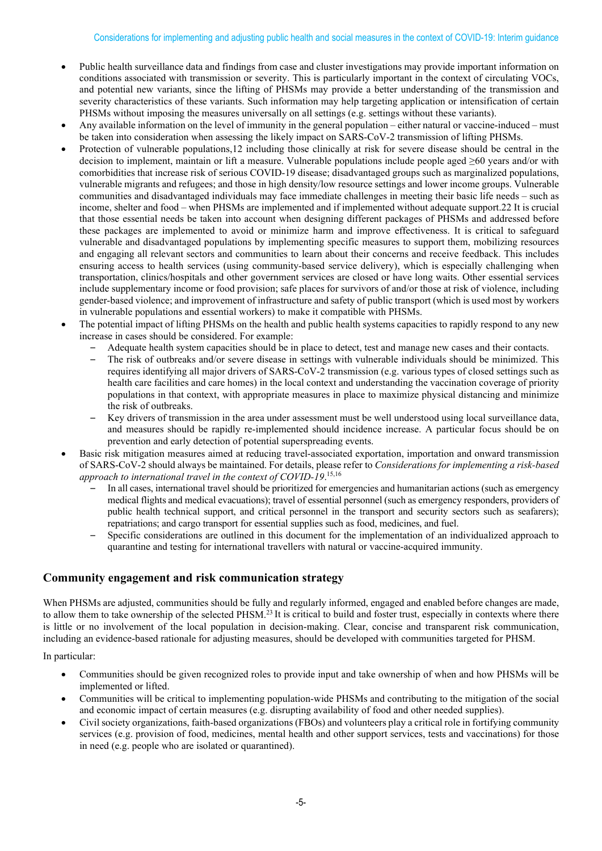- Public health surveillance data and findings from case and cluster investigations may provide important information on conditions associated with transmission or severity. This is particularly important in the context of circulating VOCs, and potential new variants, since the lifting of PHSMs may provide a better understanding of the transmission and severity characteristics of these variants. Such information may help targeting application or intensification of certain PHSMs without imposing the measures universally on all settings (e.g. settings without these variants).
- Any available information on the level of immunity in the general population either natural or vaccine-induced must be taken into consideration when assessing the likely impact on SARS-CoV-2 transmission of lifting PHSMs.
- Protection of vulnerable populations,12 including those clinically at risk for severe disease should be central in the decision to implement, maintain or lift a measure. Vulnerable populations include people aged ≥60 years and/or with comorbidities that increase risk of serious COVID-19 disease; disadvantaged groups such as marginalized populations, vulnerable migrants and refugees; and those in high density/low resource settings and lower income groups. Vulnerable communities and disadvantaged individuals may face immediate challenges in meeting their basic life needs – such as income, shelter and food – when PHSMs are implemented and if implemented without adequate support.22 It is crucial that those essential needs be taken into account when designing different packages of PHSMs and addressed before these packages are implemented to avoid or minimize harm and improve effectiveness. It is critical to safeguard vulnerable and disadvantaged populations by implementing specific measures to support them, mobilizing resources and engaging all relevant sectors and communities to learn about their concerns and receive feedback. This includes ensuring access to health services (using community-based service delivery), which is especially challenging when transportation, clinics/hospitals and other government services are closed or have long waits. Other essential services include supplementary income or food provision; safe places for survivors of and/or those at risk of violence, including gender-based violence; and improvement of infrastructure and safety of public transport (which is used most by workers in vulnerable populations and essential workers) to make it compatible with PHSMs.
- The potential impact of lifting PHSMs on the health and public health systems capacities to rapidly respond to any new increase in cases should be considered. For example:
	- Adequate health system capacities should be in place to detect, test and manage new cases and their contacts.
		- The risk of outbreaks and/or severe disease in settings with vulnerable individuals should be minimized. This requires identifying all major drivers of SARS-CoV-2 transmission (e.g. various types of closed settings such as health care facilities and care homes) in the local context and understanding the vaccination coverage of priority populations in that context, with appropriate measures in place to maximize physical distancing and minimize the risk of outbreaks.
		- Key drivers of transmission in the area under assessment must be well understood using local surveillance data, and measures should be rapidly re-implemented should incidence increase. A particular focus should be on prevention and early detection of potential superspreading events.
- Basic risk mitigation measures aimed at reducing travel-associated exportation, importation and onward transmission of SARS-CoV-2 should always be maintained. For details, please refer to *Considerations for implementing a risk-based approach to international travel in the context of COVID-19*. 15,16
	- In all cases, international travel should be prioritized for emergencies and humanitarian actions (such as emergency medical flights and medical evacuations); travel of essential personnel (such as emergency responders, providers of public health technical support, and critical personnel in the transport and security sectors such as seafarers); repatriations; and cargo transport for essential supplies such as food, medicines, and fuel.
	- Specific considerations are outlined in this document for the implementation of an individualized approach to quarantine and testing for international travellers with natural or vaccine-acquired immunity.

#### **Community engagement and risk communication strategy**

When PHSMs are adjusted, communities should be fully and regularly informed, engaged and enabled before changes are made, to allow them to take ownership of the selected PHSM.<sup>23</sup> It is critical to build and foster trust, especially in contexts where there is little or no involvement of the local population in decision-making. Clear, concise and transparent risk [communication,](https://www.who.int/emergencies/diseases/novel-coronavirus-2019/technical-guidance/risk-communication-and-community-engagement) including an evidence-based rationale for adjusting measures, should be developed with communities targeted for PHSM.

In particular:

- Communities should be given recognized roles to provide input and take ownership of when and how PHSMs will be implemented or lifted.
- Communities will be critical to implementing population-wide PHSMs and contributing to the mitigation of the social and economic impact of certain measures (e.g. disrupting availability of food and other needed supplies).
- Civil society organizations, faith-based organizations (FBOs) and volunteers play a critical role in fortifying community services (e.g. provision of food, medicines, mental health and other support services, tests and vaccinations) for those in need (e.g. people who are isolated or quarantined).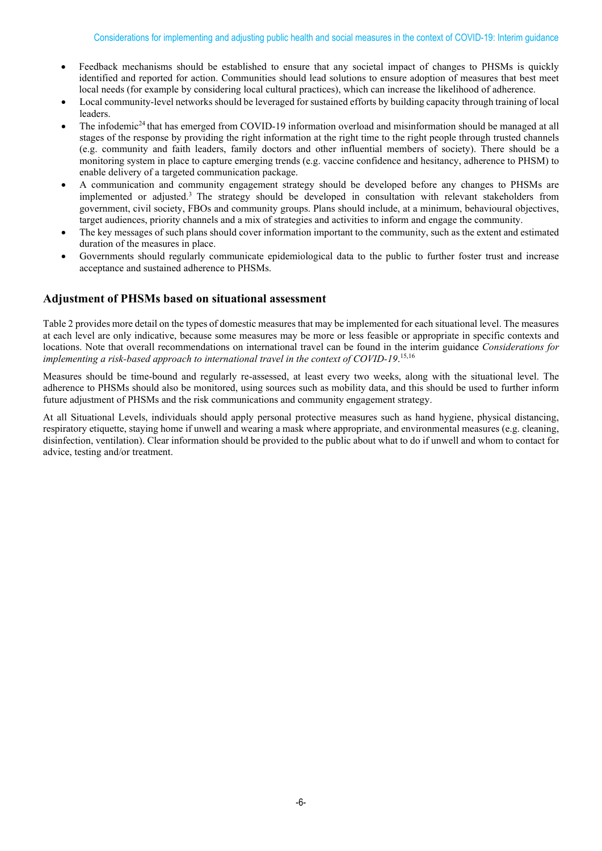- Feedback mechanisms should be established to ensure that any societal impact of changes to PHSMs is quickly identified and reported for action. Communities should lead solutions to ensure adoption of measures that best meet local needs (for example by considering local cultural practices), which can increase the likelihood of adherence.
- Local community-level networks should be leveraged for sustained efforts by building capacity through training of local leaders.
- The infodemic<sup>24</sup> that has emerged from COVID-19 information overload and misinformation should be managed at all stages of the response by providing the right information at the right time to the right people through trusted channels (e.g. community and faith leaders, family doctors and other influential members of society). There should be a monitoring system in place to capture emerging trends (e.g. vaccine confidence and hesitancy, adherence to PHSM) to enable delivery of a targeted communication package.
- A communication and community engagement strategy should be developed before any changes to PHSMs are implemented or adjusted. 3 The strategy should be developed in consultation with relevant stakeholders from government, civil society, FBOs and community groups. Plans should include, at a minimum, behavioural objectives, target audiences, priority channels and a mix of strategies and activities to inform and engage the community.
- The key messages of such plans should cover information important to the community, such as the extent and estimated duration of the measures in place.
- Governments should regularly communicate epidemiological data to the public to further foster trust and increase acceptance and sustained adherence to PHSMs.

#### **Adjustment of PHSMs based on situational assessment**

Table 2 provides more detail on the types of domestic measures that may be implemented for each situational level. The measures at each level are only indicative, because some measures may be more or less feasible or appropriate in specific contexts and locations. Note that overall recommendations on international travel can be found in the interim guidance *Considerations for implementing a risk-based approach to international travel in the context of COVID-19*. 15,16

Measures should be time-bound and regularly re-assessed, at least every two weeks, along with the situational level. The adherence to PHSMs should also be monitored, using sources such as mobility data, and this should be used to further inform future adjustment of PHSMs and the risk communications and community engagement strategy.

At all Situational Levels, individuals should apply personal protective measures such as hand hygiene, physical distancing, respiratory etiquette, staying home if unwell and wearing a mask where appropriate, and environmental measures (e.g. cleaning, disinfection, ventilation). Clear information should be provided to the public about what to do if unwell and whom to contact for advice, testing and/or treatment.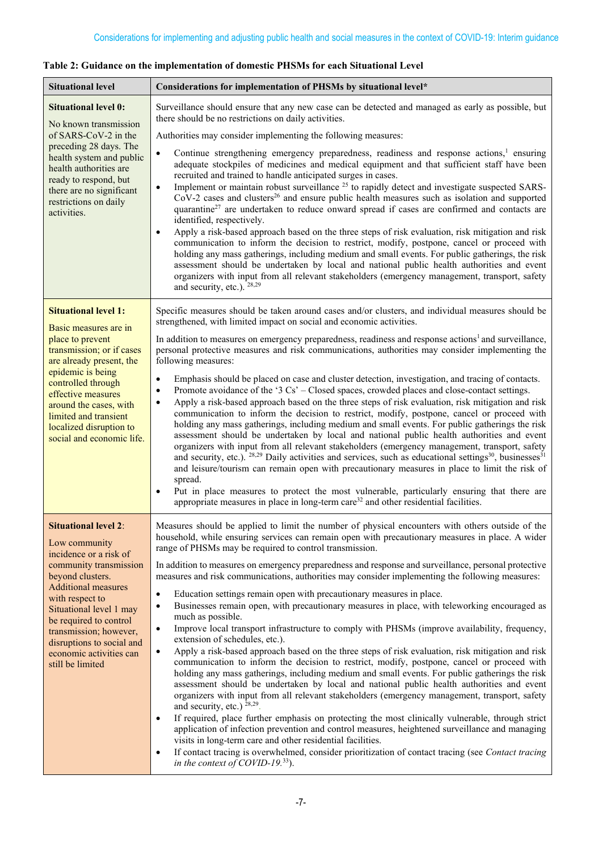| <b>Situational level</b>                                                                                                                                                                                                                                                                                                         | Considerations for implementation of PHSMs by situational level*                                                                                                                                                                                                                                                                                                                                                                                                                                                                                                                                                                                                                                                                                                                                                                                                                                                                                                                                                                                                                                                                                                                                                                                                                                                                                                                                                                                                                                                                                                                                                                                                                                                                                                                                                                          |
|----------------------------------------------------------------------------------------------------------------------------------------------------------------------------------------------------------------------------------------------------------------------------------------------------------------------------------|-------------------------------------------------------------------------------------------------------------------------------------------------------------------------------------------------------------------------------------------------------------------------------------------------------------------------------------------------------------------------------------------------------------------------------------------------------------------------------------------------------------------------------------------------------------------------------------------------------------------------------------------------------------------------------------------------------------------------------------------------------------------------------------------------------------------------------------------------------------------------------------------------------------------------------------------------------------------------------------------------------------------------------------------------------------------------------------------------------------------------------------------------------------------------------------------------------------------------------------------------------------------------------------------------------------------------------------------------------------------------------------------------------------------------------------------------------------------------------------------------------------------------------------------------------------------------------------------------------------------------------------------------------------------------------------------------------------------------------------------------------------------------------------------------------------------------------------------|
| <b>Situational level 0:</b><br>No known transmission<br>of SARS-CoV-2 in the                                                                                                                                                                                                                                                     | Surveillance should ensure that any new case can be detected and managed as early as possible, but<br>there should be no restrictions on daily activities.<br>Authorities may consider implementing the following measures:                                                                                                                                                                                                                                                                                                                                                                                                                                                                                                                                                                                                                                                                                                                                                                                                                                                                                                                                                                                                                                                                                                                                                                                                                                                                                                                                                                                                                                                                                                                                                                                                               |
| preceding 28 days. The<br>health system and public<br>health authorities are<br>ready to respond, but<br>there are no significant<br>restrictions on daily<br>activities.                                                                                                                                                        | Continue strengthening emergency preparedness, readiness and response actions, <sup>1</sup> ensuring<br>$\bullet$<br>adequate stockpiles of medicines and medical equipment and that sufficient staff have been<br>recruited and trained to handle anticipated surges in cases.<br>Implement or maintain robust surveillance <sup>25</sup> to rapidly detect and investigate suspected SARS-<br>$\bullet$<br>$CoV-2$ cases and clusters <sup>26</sup> and ensure public health measures such as isolation and supported<br>quarantine <sup>27</sup> are undertaken to reduce onward spread if cases are confirmed and contacts are<br>identified, respectively.<br>Apply a risk-based approach based on the three steps of risk evaluation, risk mitigation and risk<br>$\bullet$<br>communication to inform the decision to restrict, modify, postpone, cancel or proceed with<br>holding any mass gatherings, including medium and small events. For public gatherings, the risk<br>assessment should be undertaken by local and national public health authorities and event<br>organizers with input from all relevant stakeholders (emergency management, transport, safety<br>and security, etc.). <sup>28,29</sup>                                                                                                                                                                                                                                                                                                                                                                                                                                                                                                                                                                                                                 |
| <b>Situational level 1:</b><br>Basic measures are in<br>place to prevent<br>transmission; or if cases<br>are already present, the<br>epidemic is being<br>controlled through<br>effective measures<br>around the cases, with<br>limited and transient<br>localized disruption to<br>social and economic life.                    | Specific measures should be taken around cases and/or clusters, and individual measures should be<br>strengthened, with limited impact on social and economic activities.<br>In addition to measures on emergency preparedness, readiness and response actions <sup>1</sup> and surveillance,<br>personal protective measures and risk communications, authorities may consider implementing the<br>following measures:<br>Emphasis should be placed on case and cluster detection, investigation, and tracing of contacts.<br>$\bullet$<br>Promote avoidance of the '3 Cs' – Closed spaces, crowded places and close-contact settings.<br>$\bullet$<br>Apply a risk-based approach based on the three steps of risk evaluation, risk mitigation and risk<br>$\bullet$<br>communication to inform the decision to restrict, modify, postpone, cancel or proceed with<br>holding any mass gatherings, including medium and small events. For public gatherings the risk<br>assessment should be undertaken by local and national public health authorities and event<br>organizers with input from all relevant stakeholders (emergency management, transport, safety<br>and security, etc.). <sup>28,29</sup> Daily activities and services, such as educational settings <sup>30</sup> , businesses <sup>31</sup><br>and leisure/tourism can remain open with precautionary measures in place to limit the risk of<br>spread.<br>Put in place measures to protect the most vulnerable, particularly ensuring that there are<br>appropriate measures in place in long-term care <sup>32</sup> and other residential facilities.                                                                                                                                                                                                           |
| <b>Situational level 2:</b><br>Low community<br>incidence or a risk of<br>community transmission<br>beyond clusters.<br><b>Additional measures</b><br>with respect to<br>Situational level 1 may<br>be required to control<br>transmission; however,<br>disruptions to social and<br>economic activities can<br>still be limited | Measures should be applied to limit the number of physical encounters with others outside of the<br>household, while ensuring services can remain open with precautionary measures in place. A wider<br>range of PHSMs may be required to control transmission.<br>In addition to measures on emergency preparedness and response and surveillance, personal protective<br>measures and risk communications, authorities may consider implementing the following measures:<br>Education settings remain open with precautionary measures in place.<br>$\bullet$<br>Businesses remain open, with precautionary measures in place, with teleworking encouraged as<br>$\bullet$<br>much as possible.<br>Improve local transport infrastructure to comply with PHSMs (improve availability, frequency,<br>$\bullet$<br>extension of schedules, etc.).<br>Apply a risk-based approach based on the three steps of risk evaluation, risk mitigation and risk<br>$\bullet$<br>communication to inform the decision to restrict, modify, postpone, cancel or proceed with<br>holding any mass gatherings, including medium and small events. For public gatherings the risk<br>assessment should be undertaken by local and national public health authorities and event<br>organizers with input from all relevant stakeholders (emergency management, transport, safety<br>and security, etc.) $28,29$ .<br>If required, place further emphasis on protecting the most clinically vulnerable, through strict<br>$\bullet$<br>application of infection prevention and control measures, heightened surveillance and managing<br>visits in long-term care and other residential facilities.<br>If contact tracing is overwhelmed, consider prioritization of contact tracing (see Contact tracing<br>$\bullet$<br>in the context of COVID-19.33). |

# **Table 2: Guidance on the implementation of domestic PHSMs for each Situational Level**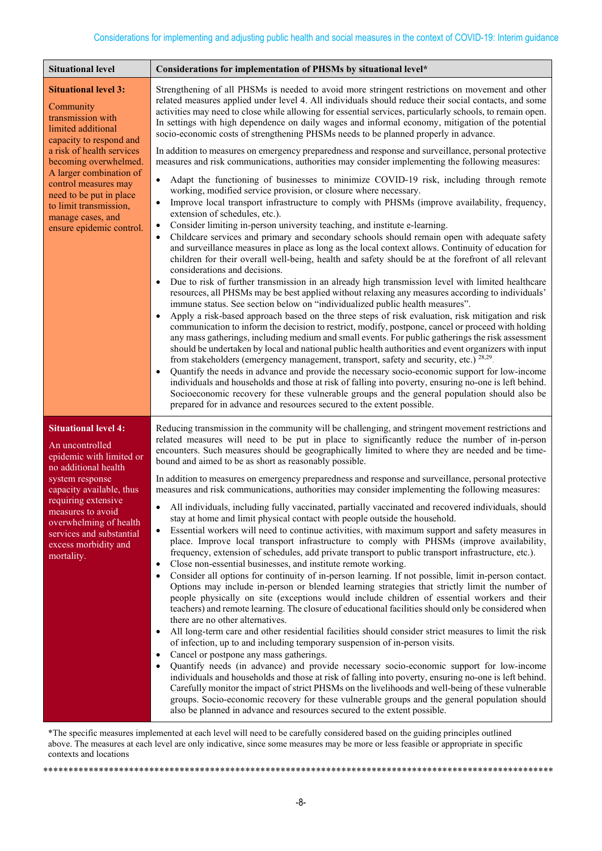| <b>Situational level</b>                                                                                                                                                                                                                                                                  | Considerations for implementation of PHSMs by situational level*                                                                                                                                                                                                                                                                                                                                                                                                                                                                                                                                                                                                                                                                                                                                                                                                                                                                                                                                                                                                                                                                                                                                                                                                                                                                                                                                                                                                                                                                                                                                                                                                                                                                                                                                                                                                                                                                                                                                                                                                                                                                                                                                                                                                                                                                                       |
|-------------------------------------------------------------------------------------------------------------------------------------------------------------------------------------------------------------------------------------------------------------------------------------------|--------------------------------------------------------------------------------------------------------------------------------------------------------------------------------------------------------------------------------------------------------------------------------------------------------------------------------------------------------------------------------------------------------------------------------------------------------------------------------------------------------------------------------------------------------------------------------------------------------------------------------------------------------------------------------------------------------------------------------------------------------------------------------------------------------------------------------------------------------------------------------------------------------------------------------------------------------------------------------------------------------------------------------------------------------------------------------------------------------------------------------------------------------------------------------------------------------------------------------------------------------------------------------------------------------------------------------------------------------------------------------------------------------------------------------------------------------------------------------------------------------------------------------------------------------------------------------------------------------------------------------------------------------------------------------------------------------------------------------------------------------------------------------------------------------------------------------------------------------------------------------------------------------------------------------------------------------------------------------------------------------------------------------------------------------------------------------------------------------------------------------------------------------------------------------------------------------------------------------------------------------------------------------------------------------------------------------------------------------|
| <b>Situational level 3:</b><br>Community<br>transmission with<br>limited additional                                                                                                                                                                                                       | Strengthening of all PHSMs is needed to avoid more stringent restrictions on movement and other<br>related measures applied under level 4. All individuals should reduce their social contacts, and some<br>activities may need to close while allowing for essential services, particularly schools, to remain open.<br>In settings with high dependence on daily wages and informal economy, mitigation of the potential<br>socio-economic costs of strengthening PHSMs needs to be planned properly in advance.                                                                                                                                                                                                                                                                                                                                                                                                                                                                                                                                                                                                                                                                                                                                                                                                                                                                                                                                                                                                                                                                                                                                                                                                                                                                                                                                                                                                                                                                                                                                                                                                                                                                                                                                                                                                                                     |
| capacity to respond and<br>a risk of health services<br>becoming overwhelmed.<br>A larger combination of<br>control measures may<br>need to be put in place<br>to limit transmission,<br>manage cases, and<br>ensure epidemic control.                                                    | In addition to measures on emergency preparedness and response and surveillance, personal protective<br>measures and risk communications, authorities may consider implementing the following measures:<br>Adapt the functioning of businesses to minimize COVID-19 risk, including through remote<br>$\bullet$<br>working, modified service provision, or closure where necessary.<br>Improve local transport infrastructure to comply with PHSMs (improve availability, frequency,<br>٠<br>extension of schedules, etc.).<br>Consider limiting in-person university teaching, and institute e-learning.<br>٠<br>Childcare services and primary and secondary schools should remain open with adequate safety<br>$\bullet$<br>and surveillance measures in place as long as the local context allows. Continuity of education for<br>children for their overall well-being, health and safety should be at the forefront of all relevant<br>considerations and decisions.<br>Due to risk of further transmission in an already high transmission level with limited healthcare<br>resources, all PHSMs may be best applied without relaxing any measures according to individuals'<br>immune status. See section below on "individualized public health measures".<br>Apply a risk-based approach based on the three steps of risk evaluation, risk mitigation and risk<br>communication to inform the decision to restrict, modify, postpone, cancel or proceed with holding<br>any mass gatherings, including medium and small events. For public gatherings the risk assessment<br>should be undertaken by local and national public health authorities and event organizers with input<br>from stakeholders (emergency management, transport, safety and security, etc.) <sup>28,29</sup> .<br>Quantify the needs in advance and provide the necessary socio-economic support for low-income<br>individuals and households and those at risk of falling into poverty, ensuring no-one is left behind.<br>Socioeconomic recovery for these vulnerable groups and the general population should also be<br>prepared for in advance and resources secured to the extent possible.                                                                                                                                                                    |
| <b>Situational level 4:</b><br>An uncontrolled<br>epidemic with limited or<br>no additional health<br>system response<br>capacity available, thus<br>requiring extensive<br>measures to avoid<br>overwhelming of health<br>services and substantial<br>excess morbidity and<br>mortality. | Reducing transmission in the community will be challenging, and stringent movement restrictions and<br>related measures will need to be put in place to significantly reduce the number of in-person<br>encounters. Such measures should be geographically limited to where they are needed and be time-<br>bound and aimed to be as short as reasonably possible.<br>In addition to measures on emergency preparedness and response and surveillance, personal protective<br>measures and risk communications, authorities may consider implementing the following measures:<br>• All individuals, including fully vaccinated, partially vaccinated and recovered individuals, should<br>stay at home and limit physical contact with people outside the household.<br>Essential workers will need to continue activities, with maximum support and safety measures in<br>$\bullet$<br>place. Improve local transport infrastructure to comply with PHSMs (improve availability,<br>frequency, extension of schedules, add private transport to public transport infrastructure, etc.).<br>Close non-essential businesses, and institute remote working.<br>٠<br>Consider all options for continuity of in-person learning. If not possible, limit in-person contact.<br>٠<br>Options may include in-person or blended learning strategies that strictly limit the number of<br>people physically on site (exceptions would include children of essential workers and their<br>teachers) and remote learning. The closure of educational facilities should only be considered when<br>there are no other alternatives.<br>All long-term care and other residential facilities should consider strict measures to limit the risk<br>٠<br>of infection, up to and including temporary suspension of in-person visits.<br>Cancel or postpone any mass gatherings.<br>Quantify needs (in advance) and provide necessary socio-economic support for low-income<br>individuals and households and those at risk of falling into poverty, ensuring no-one is left behind.<br>Carefully monitor the impact of strict PHSMs on the livelihoods and well-being of these vulnerable<br>groups. Socio-economic recovery for these vulnerable groups and the general population should<br>also be planned in advance and resources secured to the extent possible. |

\*The specific measures implemented at each level will need to be carefully considered based on the guiding principles outlined above. The measures at each level are only indicative, since some measures may be more or less feasible or appropriate in specific contexts and locations

\*\*\*\*\*\*\*\*\*\*\*\*\*\*\*\*\*\*\*\*\*\*\*\*\*\*\*\*\*\*\*\*\*\*\*\*\*\*\*\*\*\*\*\*\*\*\*\*\*\*\*\*\*\*\*\*\*\*\*\*\*\*\*\*\*\*\*\*\*\*\*\*\*\*\*\*\*\*\*\*\*\*\*\*\*\*\*\*\*\*\*\*\*\*\*\*\*\*\*\*\*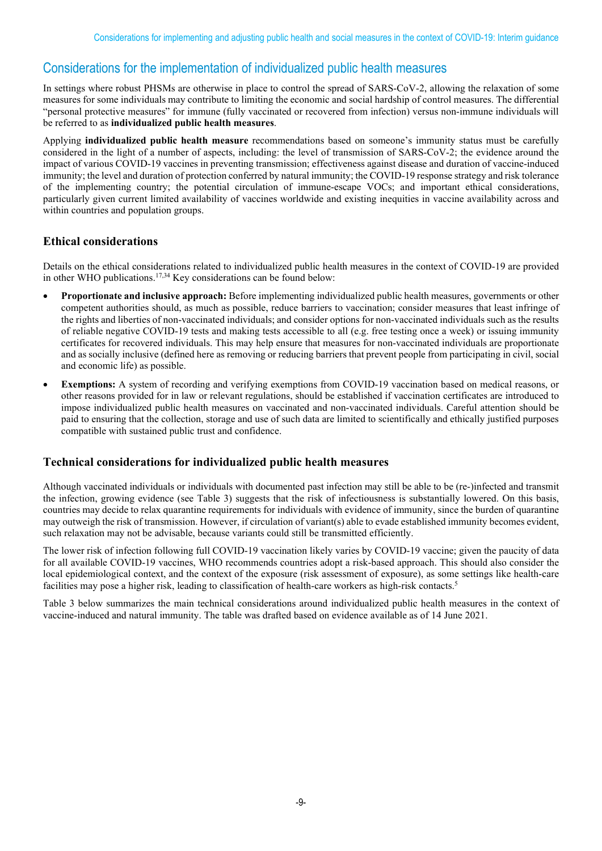# Considerations for the implementation of individualized public health measures

In settings where robust PHSMs are otherwise in place to control the spread of SARS-CoV-2, allowing the relaxation of some measures for some individuals may contribute to limiting the economic and social hardship of control measures. The differential "personal protective measures" for immune (fully vaccinated or recovered from infection) versus non-immune individuals will be referred to as **individualized public health measures**.

Applying **individualized public health measure** recommendations based on someone's immunity status must be carefully considered in the light of a number of aspects, including: the level of transmission of SARS-CoV-2; the evidence around the impact of various COVID-19 vaccines in preventing transmission; effectiveness against disease and duration of vaccine-induced immunity; the level and duration of protection conferred by natural immunity; the COVID-19 response strategy and risk tolerance of the implementing country; the potential circulation of immune-escape VOCs; and important ethical considerations, particularly given current limited availability of vaccines worldwide and existing inequities in vaccine availability across and within countries and population groups.

#### **Ethical considerations**

Details on the ethical considerations related to individualized public health measures in the context of COVID-19 are provided in other WHO publications. 17,34 Key considerations can be found below:

- **Proportionate and inclusive approach:** Before implementing individualized public health measures, governments or other competent authorities should, as much as possible, reduce barriers to vaccination; consider measures that least infringe of the rights and liberties of non-vaccinated individuals; and consider options for non-vaccinated individuals such as the results of reliable negative COVID-19 tests and making tests accessible to all (e.g. free testing once a week) or issuing immunity certificates for recovered individuals. This may help ensure that measures for non-vaccinated individuals are proportionate and as socially inclusive (defined here as removing or reducing barriers that prevent people from participating in civil, social and economic life) as possible.
- **Exemptions:** A system of recording and verifying exemptions from COVID-19 vaccination based on medical reasons, or other reasons provided for in law or relevant regulations, should be established if vaccination certificates are introduced to impose individualized public health measures on vaccinated and non-vaccinated individuals. Careful attention should be paid to ensuring that the collection, storage and use of such data are limited to scientifically and ethically justified purposes compatible with sustained public trust and confidence.

#### **Technical considerations for individualized public health measures**

Although vaccinated individuals or individuals with documented past infection may still be able to be (re-)infected and transmit the infection, growing evidence (see Table 3) suggests that the risk of infectiousness is substantially lowered. On this basis, countries may decide to relax quarantine requirements for individuals with evidence of immunity, since the burden of quarantine may outweigh the risk of transmission. However, if circulation of variant(s) able to evade established immunity becomes evident, such relaxation may not be advisable, because variants could still be transmitted efficiently.

The lower risk of infection following full COVID-19 vaccination likely varies by COVID-19 vaccine; given the paucity of data for all available COVID-19 vaccines, WHO recommends countries adopt a risk-based approach. This should also consider the local epidemiological context, and the context of the exposure (risk assessment of exposure), as some settings like health-care facilities may pose a higher risk, leading to classification of health-care workers as high-risk contacts.5

Table 3 below summarizes the main technical considerations around individualized public health measures in the context of vaccine-induced and natural immunity. The table was drafted based on evidence available as of 14 June 2021.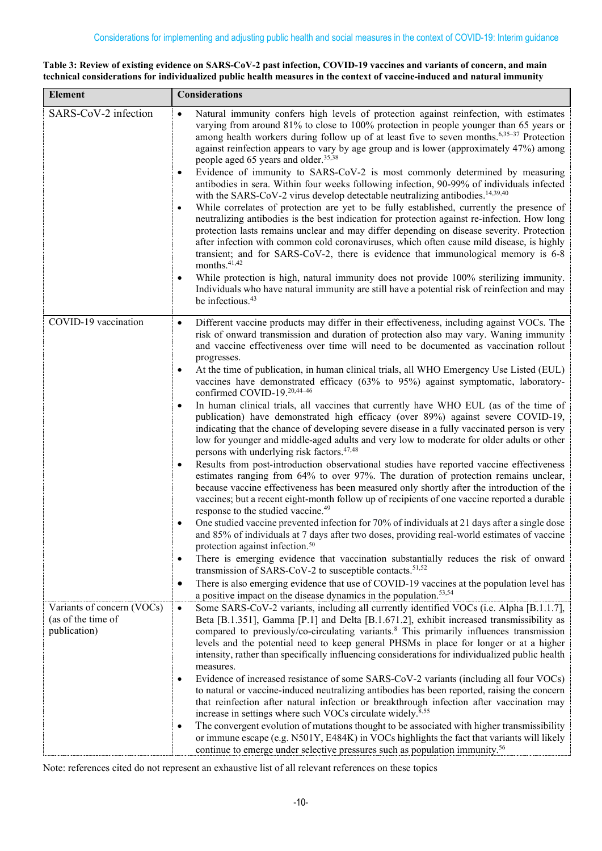#### **Table 3: Review of existing evidence on SARS-CoV-2 past infection, COVID-19 vaccines and variants of concern, and main technical considerations for individualized public health measures in the context of vaccine-induced and natural immunity**

| <b>Element</b>                                                   | <b>Considerations</b>                                                                                                                                                                                                                                                                                                                                                                                                                                                                                                                                                                                                                                                                                                                                                                                                                                                                                                                                                                                                                                                                                                                                                                                                                                                                                                                                                                                                                                                                           |  |  |  |
|------------------------------------------------------------------|-------------------------------------------------------------------------------------------------------------------------------------------------------------------------------------------------------------------------------------------------------------------------------------------------------------------------------------------------------------------------------------------------------------------------------------------------------------------------------------------------------------------------------------------------------------------------------------------------------------------------------------------------------------------------------------------------------------------------------------------------------------------------------------------------------------------------------------------------------------------------------------------------------------------------------------------------------------------------------------------------------------------------------------------------------------------------------------------------------------------------------------------------------------------------------------------------------------------------------------------------------------------------------------------------------------------------------------------------------------------------------------------------------------------------------------------------------------------------------------------------|--|--|--|
| SARS-CoV-2 infection                                             | Natural immunity confers high levels of protection against reinfection, with estimates<br>$\bullet$<br>varying from around 81% to close to 100% protection in people younger than 65 years or<br>among health workers during follow up of at least five to seven months. <sup>6,35-37</sup> Protection<br>against reinfection appears to vary by age group and is lower (approximately 47%) among<br>people aged 65 years and older. <sup>35,38</sup><br>Evidence of immunity to SARS-CoV-2 is most commonly determined by measuring<br>$\bullet$<br>antibodies in sera. Within four weeks following infection, 90-99% of individuals infected<br>with the SARS-CoV-2 virus develop detectable neutralizing antibodies. <sup>14,39,40</sup><br>While correlates of protection are yet to be fully established, currently the presence of<br>$\bullet$<br>neutralizing antibodies is the best indication for protection against re-infection. How long<br>protection lasts remains unclear and may differ depending on disease severity. Protection<br>after infection with common cold coronaviruses, which often cause mild disease, is highly<br>transient; and for SARS-CoV-2, there is evidence that immunological memory is 6-8<br>months. <sup>41,42</sup><br>While protection is high, natural immunity does not provide 100% sterilizing immunity.<br>٠<br>Individuals who have natural immunity are still have a potential risk of reinfection and may<br>be infectious. <sup>43</sup> |  |  |  |
|                                                                  |                                                                                                                                                                                                                                                                                                                                                                                                                                                                                                                                                                                                                                                                                                                                                                                                                                                                                                                                                                                                                                                                                                                                                                                                                                                                                                                                                                                                                                                                                                 |  |  |  |
| COVID-19 vaccination                                             | Different vaccine products may differ in their effectiveness, including against VOCs. The<br>$\bullet$<br>risk of onward transmission and duration of protection also may vary. Waning immunity<br>and vaccine effectiveness over time will need to be documented as vaccination rollout<br>progresses.<br>At the time of publication, in human clinical trials, all WHO Emergency Use Listed (EUL)<br>$\bullet$<br>vaccines have demonstrated efficacy (63% to 95%) against symptomatic, laboratory-<br>confirmed COVID-19.20,44-46<br>In human clinical trials, all vaccines that currently have WHO EUL (as of the time of<br>$\bullet$<br>publication) have demonstrated high efficacy (over 89%) against severe COVID-19,<br>indicating that the chance of developing severe disease in a fully vaccinated person is very<br>low for younger and middle-aged adults and very low to moderate for older adults or other                                                                                                                                                                                                                                                                                                                                                                                                                                                                                                                                                                     |  |  |  |
|                                                                  | persons with underlying risk factors. <sup>47,48</sup><br>Results from post-introduction observational studies have reported vaccine effectiveness<br>$\bullet$<br>estimates ranging from 64% to over 97%. The duration of protection remains unclear,<br>because vaccine effectiveness has been measured only shortly after the introduction of the<br>vaccines; but a recent eight-month follow up of recipients of one vaccine reported a durable<br>response to the studied vaccine. <sup>49</sup><br>One studied vaccine prevented infection for 70% of individuals at 21 days after a single dose<br>$\bullet$                                                                                                                                                                                                                                                                                                                                                                                                                                                                                                                                                                                                                                                                                                                                                                                                                                                                            |  |  |  |
|                                                                  | and 85% of individuals at 7 days after two doses, providing real-world estimates of vaccine<br>protection against infection. <sup>50</sup><br>There is emerging evidence that vaccination substantially reduces the risk of onward<br>$\bullet$                                                                                                                                                                                                                                                                                                                                                                                                                                                                                                                                                                                                                                                                                                                                                                                                                                                                                                                                                                                                                                                                                                                                                                                                                                                 |  |  |  |
|                                                                  | transmission of SARS-CoV-2 to susceptible contacts. <sup>51,52</sup><br>There is also emerging evidence that use of COVID-19 vaccines at the population level has<br>$\bullet$<br>a positive impact on the disease dynamics in the population. <sup>53,54</sup>                                                                                                                                                                                                                                                                                                                                                                                                                                                                                                                                                                                                                                                                                                                                                                                                                                                                                                                                                                                                                                                                                                                                                                                                                                 |  |  |  |
| Variants of concern (VOCs)<br>(as of the time of<br>publication) | Some SARS-CoV-2 variants, including all currently identified VOCs (i.e. Alpha [B.1.1.7],<br>$\bullet$<br>Beta [B.1.351], Gamma [P.1] and Delta [B.1.671.2], exhibit increased transmissibility as<br>compared to previously/co-circulating variants. <sup>8</sup> This primarily influences transmission<br>levels and the potential need to keep general PHSMs in place for longer or at a higher<br>intensity, rather than specifically influencing considerations for individualized public health<br>measures.<br>Evidence of increased resistance of some SARS-CoV-2 variants (including all four VOCs)<br>$\bullet$                                                                                                                                                                                                                                                                                                                                                                                                                                                                                                                                                                                                                                                                                                                                                                                                                                                                       |  |  |  |
|                                                                  | to natural or vaccine-induced neutralizing antibodies has been reported, raising the concern<br>that reinfection after natural infection or breakthrough infection after vaccination may<br>increase in settings where such VOCs circulate widely. <sup>8,55</sup><br>The convergent evolution of mutations thought to be associated with higher transmissibility<br>$\bullet$<br>or immune escape (e.g. N501Y, E484K) in VOCs highlights the fact that variants will likely<br>continue to emerge under selective pressures such as population immunity. <sup>56</sup>                                                                                                                                                                                                                                                                                                                                                                                                                                                                                                                                                                                                                                                                                                                                                                                                                                                                                                                         |  |  |  |

Note: references cited do not represent an exhaustive list of all relevant references on these topics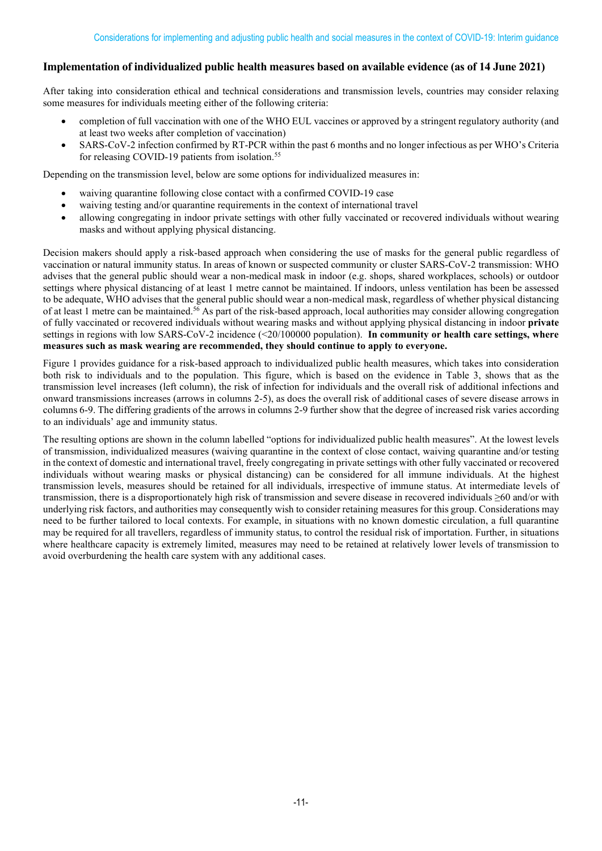#### **Implementation of individualized public health measures based on available evidence (as of 14 June 2021)**

After taking into consideration ethical and technical considerations and transmission levels, countries may consider relaxing some measures for individuals meeting either of the following criteria:

- completion of full vaccination with one of the WHO EUL vaccines or approved by a stringent regulatory authority (and at least two weeks after completion of vaccination)
- SARS-CoV-2 infection confirmed by RT-PCR within the past 6 months and no longer infectious as per WHO's Criteria for releasing COVID-19 patients from isolation.<sup>55</sup>

Depending on the transmission level, below are some options for individualized measures in:

- waiving quarantine following close contact with a confirmed COVID-19 case
- waiving testing and/or quarantine requirements in the context of international travel
- allowing congregating in indoor private settings with other fully vaccinated or recovered individuals without wearing masks and without applying physical distancing.

Decision makers should apply a risk-based approach when considering the use of masks for the general public regardless of vaccination or natural immunity status. In areas of known or suspected community or cluster SARS-CoV-2 transmission: WHO advises that the general public should wear a non-medical mask in indoor (e.g. shops, shared workplaces, schools) or outdoor settings where physical distancing of at least 1 metre cannot be maintained. If indoors, unless ventilation has been be assessed to be adequate, WHO advises that the general public should wear a non-medical mask, regardless of whether physical distancing of at least 1 metre can be maintained.<sup>56</sup> As part of the risk-based approach, local authorities may consider allowing congregation of fully vaccinated or recovered individuals without wearing masks and without applying physical distancing in indoor **private** settings in regions with low SARS-CoV-2 incidence (<20/100000 population). **In community or health care settings, where measures such as mask wearing are recommended, they should continue to apply to everyone.**

Figure 1 provides guidance for a risk-based approach to individualized public health measures, which takes into consideration both risk to individuals and to the population. This figure, which is based on the evidence in Table 3, shows that as the transmission level increases (left column), the risk of infection for individuals and the overall risk of additional infections and onward transmissions increases (arrows in columns 2-5), as does the overall risk of additional cases of severe disease arrows in columns 6-9. The differing gradients of the arrows in columns 2-9 further show that the degree of increased risk varies according to an individuals' age and immunity status.

The resulting options are shown in the column labelled "options for individualized public health measures". At the lowest levels of transmission, individualized measures (waiving quarantine in the context of close contact, waiving quarantine and/or testing in the context of domestic and international travel, freely congregating in private settings with other fully vaccinated or recovered individuals without wearing masks or physical distancing) can be considered for all immune individuals. At the highest transmission levels, measures should be retained for all individuals, irrespective of immune status. At intermediate levels of transmission, there is a disproportionately high risk of transmission and severe disease in recovered individuals ≥60 and/or with underlying risk factors, and authorities may consequently wish to consider retaining measures for this group. Considerations may need to be further tailored to local contexts. For example, in situations with no known domestic circulation, a full quarantine may be required for all travellers, regardless of immunity status, to control the residual risk of importation. Further, in situations where healthcare capacity is extremely limited, measures may need to be retained at relatively lower levels of transmission to avoid overburdening the health care system with any additional cases.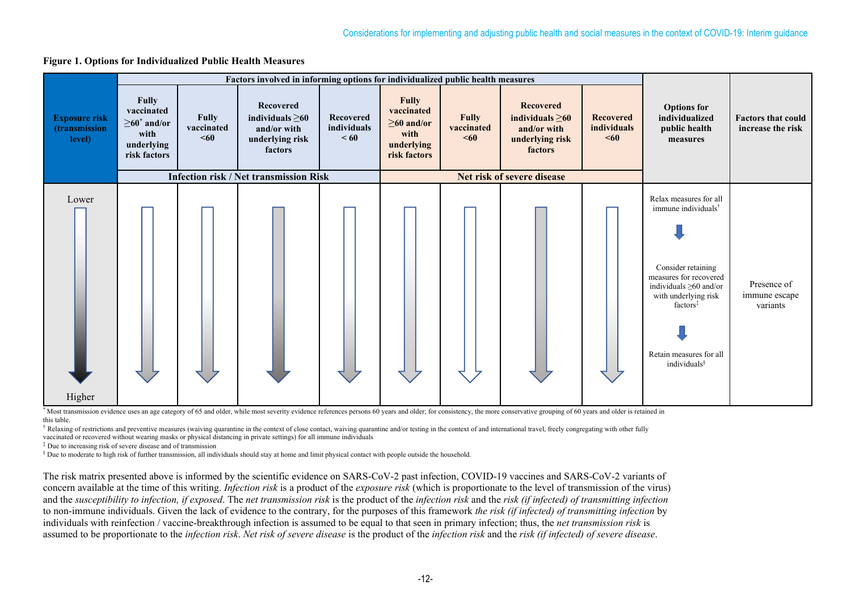



\* Most transmission evidence uses an age category of 65 and older, while most severity evidence references persons 60 years and older; for consistency, the more conservative grouping of 60 years and older is retained in this table.

 $^{\dagger}$  Relaxing of restrictions and preventive measures (waiving quarantine in the context of close contact, waiving quarantine and/or testing in the context of and international travel, freely congregating with other fu vaccinated or recovered without wearing masks or physical distancing in private settings) for all immune individuals

‡ Due to increasing risk of severe disease and of transmission

§ Due to moderate to high risk of further transmission, all individuals should stay at home and limit physical contact with people outside the household.

The risk matrix presented above is informed by the scientific evidence on SARS-CoV-2 past infection, COVID-19 vaccines and SARS-CoV-2 variants of concern available at the time of this writing. *Infection risk* is a product of the *exposure risk* (which is proportionate to the level of transmission of the virus) and the *susceptibility to infection, if exposed*. The *net transmission risk* is the product of the *infection risk* and the *risk (if infected) of transmitting infection* to non-immune individuals. Given the lack of evidence to the contrary, for the purposes of this framework *the risk (if infected) of transmitting infection* by individuals with reinfection / vaccine-breakthrough infection is assumed to be equal to that seen in primary infection; thus, the *net transmission risk* is assumed to be proportionate to the *infection risk*. *Net risk of severe disease* is the product of the *infection risk* and the *risk (if infected) of severe disease*.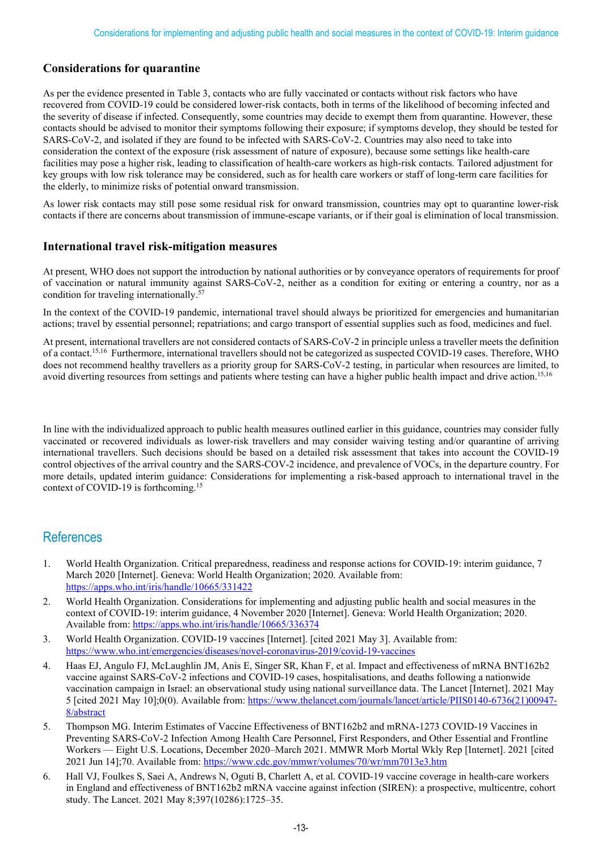#### **Considerations for quarantine**

As per the evidence presented in Table 3, contacts who are fully vaccinated or contacts without risk factors who have recovered from COVID-19 could be considered lower-risk contacts, both in terms of the likelihood of becoming infected and the severity of disease if infected. Consequently, some countries may decide to exempt them from quarantine. However, these contacts should be advised to monitor their symptoms following their exposure; if symptoms develop, they should be tested for SARS-CoV-2, and isolated if they are found to be infected with SARS-CoV-2. Countries may also need to take into consideration the context of the exposure (risk assessment of nature of exposure), because some settings like health-care facilities may pose a higher risk, leading to classification of health-care workers as high-risk contacts. Tailored adjustment for key groups with low risk tolerance may be considered, such as for health care workers or staff of long-term care facilities for the elderly, to minimize risks of potential onward transmission.

As lower risk contacts may still pose some residual risk for onward transmission, countries may opt to quarantine lower-risk contacts if there are concerns about transmission of immune-escape variants, or if their goal is elimination of local transmission.

#### **International travel risk-mitigation measures**

At present, WHO does not support the introduction by national authorities or by conveyance operators of requirements for proof of vaccination or natural immunity against SARS-CoV-2, neither as a condition for exiting or entering a country, nor as a condition for traveling internationally. 57

In the context of the COVID-19 pandemic, international travel should always be prioritized for emergencies and humanitarian actions; travel by essential personnel; repatriations; and cargo transport of essential supplies such as food, medicines and fuel.

At present, international travellers are not considered contacts of SARS-CoV-2 in principle unless a traveller meets the definition of a contact. 15,16 Furthermore, international travellers should not be categorized as suspected COVID-19 cases. Therefore, WHO does not recommend healthy travellers as a priority group for SARS-CoV-2 testing, in particular when resources are limited, to avoid diverting resources from settings and patients where testing can have a higher public health impact and drive action.<sup>15,16</sup>

In line with the individualized approach to public health measures outlined earlier in this guidance, countries may consider fully vaccinated or recovered individuals as lower-risk travellers and may consider waiving testing and/or quarantine of arriving international travellers. Such decisions should be based on a detailed risk assessment that takes into account the COVID-19 control objectives of the arrival country and the SARS-COV-2 incidence, and prevalence of VOCs, in the departure country. For more details, updated interim guidance: Considerations for implementing a risk-based approach to international travel in the context of COVID-19 is forthcoming. 15

## **References**

- 1. World Health Organization. Critical preparedness, readiness and response actions for COVID-19: interim guidance, 7 March 2020 [Internet]. Geneva: World Health Organization; 2020. Available from: <https://apps.who.int/iris/handle/10665/331422>
- 2. World Health Organization. Considerations for implementing and adjusting public health and social measures in the context of COVID-19: interim guidance, 4 November 2020 [Internet]. Geneva: World Health Organization; 2020. Available from[: https://apps.who.int/iris/handle/10665/336374](https://apps.who.int/iris/handle/10665/336374)
- 3. World Health Organization. COVID-19 vaccines [Internet]. [cited 2021 May 3]. Available from: <https://www.who.int/emergencies/diseases/novel-coronavirus-2019/covid-19-vaccines>
- 4. Haas EJ, Angulo FJ, McLaughlin JM, Anis E, Singer SR, Khan F, et al. Impact and effectiveness of mRNA BNT162b2 vaccine against SARS-CoV-2 infections and COVID-19 cases, hospitalisations, and deaths following a nationwide vaccination campaign in Israel: an observational study using national surveillance data. The Lancet [Internet]. 2021 May 5 [cited 2021 May 10];0(0). Available from: [https://www.thelancet.com/journals/lancet/article/PIIS0140-6736\(21\)00947-](https://www.thelancet.com/journals/lancet/article/PIIS0140-6736(21)00947-8/abstract) [8/abstract](https://www.thelancet.com/journals/lancet/article/PIIS0140-6736(21)00947-8/abstract)
- 5. Thompson MG. Interim Estimates of Vaccine Effectiveness of BNT162b2 and mRNA-1273 COVID-19 Vaccines in Preventing SARS-CoV-2 Infection Among Health Care Personnel, First Responders, and Other Essential and Frontline Workers — Eight U.S. Locations, December 2020–March 2021. MMWR Morb Mortal Wkly Rep [Internet]. 2021 [cited 2021 Jun 14];70. Available from:<https://www.cdc.gov/mmwr/volumes/70/wr/mm7013e3.htm>
- 6. Hall VJ, Foulkes S, Saei A, Andrews N, Oguti B, Charlett A, et al. COVID-19 vaccine coverage in health-care workers in England and effectiveness of BNT162b2 mRNA vaccine against infection (SIREN): a prospective, multicentre, cohort study. The Lancet. 2021 May 8;397(10286):1725–35.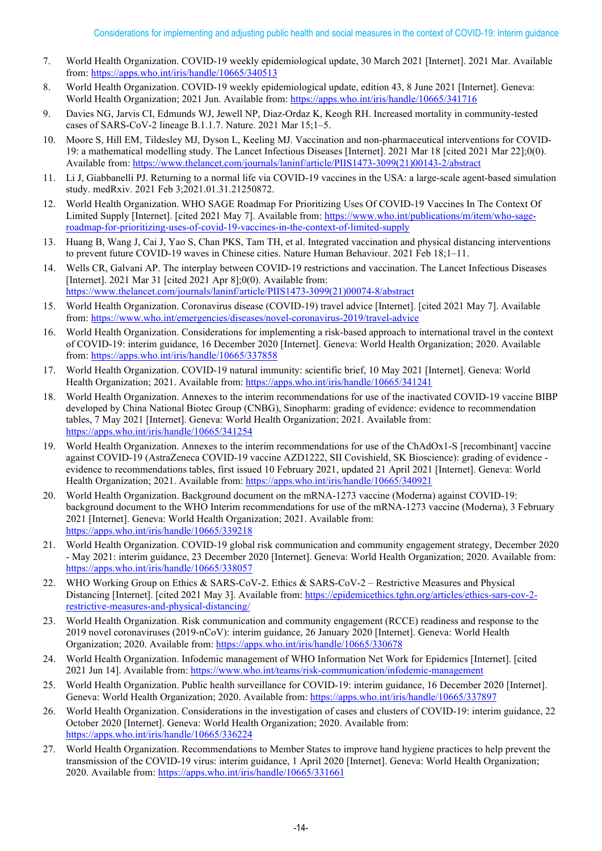- 7. World Health Organization. COVID-19 weekly epidemiological update, 30 March 2021 [Internet]. 2021 Mar. Available from:<https://apps.who.int/iris/handle/10665/340513>
- 8. World Health Organization. COVID-19 weekly epidemiological update, edition 43, 8 June 2021 [Internet]. Geneva: World Health Organization; 2021 Jun. Available from[: https://apps.who.int/iris/handle/10665/341716](https://apps.who.int/iris/handle/10665/341716)
- 9. Davies NG, Jarvis CI, Edmunds WJ, Jewell NP, Diaz-Ordaz K, Keogh RH. Increased mortality in community-tested cases of SARS-CoV-2 lineage B.1.1.7. Nature. 2021 Mar 15;1–5.
- 10. Moore S, Hill EM, Tildesley MJ, Dyson L, Keeling MJ. Vaccination and non-pharmaceutical interventions for COVID-19: a mathematical modelling study. The Lancet Infectious Diseases [Internet]. 2021 Mar 18 [cited 2021 Mar 22];0(0). Available from[: https://www.thelancet.com/journals/laninf/article/PIIS1473-3099\(21\)00143-2/abstract](https://www.thelancet.com/journals/laninf/article/PIIS1473-3099(21)00143-2/abstract)
- 11. Li J, Giabbanelli PJ. Returning to a normal life via COVID-19 vaccines in the USA: a large-scale agent-based simulation study. medRxiv. 2021 Feb 3;2021.01.31.21250872.
- 12. World Health Organization. WHO SAGE Roadmap For Prioritizing Uses Of COVID-19 Vaccines In The Context Of Limited Supply [Internet]. [cited 2021 May 7]. Available from: [https://www.who.int/publications/m/item/who-sage](https://www.who.int/publications/m/item/who-sage-roadmap-for-prioritizing-uses-of-covid-19-vaccines-in-the-context-of-limited-supply)[roadmap-for-prioritizing-uses-of-covid-19-vaccines-in-the-context-of-limited-supply](https://www.who.int/publications/m/item/who-sage-roadmap-for-prioritizing-uses-of-covid-19-vaccines-in-the-context-of-limited-supply)
- 13. Huang B, Wang J, Cai J, Yao S, Chan PKS, Tam TH, et al. Integrated vaccination and physical distancing interventions to prevent future COVID-19 waves in Chinese cities. Nature Human Behaviour. 2021 Feb 18;1–11.
- 14. Wells CR, Galvani AP. The interplay between COVID-19 restrictions and vaccination. The Lancet Infectious Diseases [Internet]. 2021 Mar 31 [cited 2021 Apr 8];0(0). Available from: [https://www.thelancet.com/journals/laninf/article/PIIS1473-3099\(21\)00074-8/abstract](https://www.thelancet.com/journals/laninf/article/PIIS1473-3099(21)00074-8/abstract)
- 15. World Health Organization. Coronavirus disease (COVID-19) travel advice [Internet]. [cited 2021 May 7]. Available from:<https://www.who.int/emergencies/diseases/novel-coronavirus-2019/travel-advice>
- 16. World Health Organization. Considerations for implementing a risk-based approach to international travel in the context of COVID-19: interim guidance, 16 December 2020 [Internet]. Geneva: World Health Organization; 2020. Available from:<https://apps.who.int/iris/handle/10665/337858>
- 17. World Health Organization. COVID-19 natural immunity: scientific brief, 10 May 2021 [Internet]. Geneva: World Health Organization; 2021. Available from:<https://apps.who.int/iris/handle/10665/341241>
- 18. World Health Organization. Annexes to the interim recommendations for use of the inactivated COVID-19 vaccine BIBP developed by China National Biotec Group (CNBG), Sinopharm: grading of evidence: evidence to recommendation tables, 7 May 2021 [Internet]. Geneva: World Health Organization; 2021. Available from: <https://apps.who.int/iris/handle/10665/341254>
- 19. World Health Organization. Annexes to the interim recommendations for use of the ChAdOx1-S [recombinant] vaccine against COVID-19 (AstraZeneca COVID-19 vaccine AZD1222, SII Covishield, SK Bioscience): grading of evidence evidence to recommendations tables, first issued 10 February 2021, updated 21 April 2021 [Internet]. Geneva: World Health Organization; 2021. Available from:<https://apps.who.int/iris/handle/10665/340921>
- 20. World Health Organization. Background document on the mRNA-1273 vaccine (Moderna) against COVID-19: background document to the WHO Interim recommendations for use of the mRNA-1273 vaccine (Moderna), 3 February 2021 [Internet]. Geneva: World Health Organization; 2021. Available from: <https://apps.who.int/iris/handle/10665/339218>
- 21. World Health Organization. COVID-19 global risk communication and community engagement strategy, December 2020 - May 2021: interim guidance, 23 December 2020 [Internet]. Geneva: World Health Organization; 2020. Available from: <https://apps.who.int/iris/handle/10665/338057>
- 22. WHO Working Group on Ethics & SARS-CoV-2. Ethics & SARS-CoV-2 Restrictive Measures and Physical Distancing [Internet]. [cited 2021 May 3]. Available from: [https://epidemicethics.tghn.org/articles/ethics-sars-cov-2](https://epidemicethics.tghn.org/articles/ethics-sars-cov-2-restrictive-measures-and-physical-distancing/) [restrictive-measures-and-physical-distancing/](https://epidemicethics.tghn.org/articles/ethics-sars-cov-2-restrictive-measures-and-physical-distancing/)
- 23. World Health Organization. Risk communication and community engagement (RCCE) readiness and response to the 2019 novel coronaviruses (2019-nCoV): interim guidance, 26 January 2020 [Internet]. Geneva: World Health Organization; 2020. Available from:<https://apps.who.int/iris/handle/10665/330678>
- 24. World Health Organization. Infodemic management of WHO Information Net Work for Epidemics [Internet]. [cited 2021 Jun 14]. Available from[: https://www.who.int/teams/risk-communication/infodemic-management](https://www.who.int/teams/risk-communication/infodemic-management)
- 25. World Health Organization. Public health surveillance for COVID-19: interim guidance, 16 December 2020 [Internet]. Geneva: World Health Organization; 2020. Available from:<https://apps.who.int/iris/handle/10665/337897>
- 26. World Health Organization. Considerations in the investigation of cases and clusters of COVID-19: interim guidance, 22 October 2020 [Internet]. Geneva: World Health Organization; 2020. Available from: <https://apps.who.int/iris/handle/10665/336224>
- 27. World Health Organization. Recommendations to Member States to improve hand hygiene practices to help prevent the transmission of the COVID-19 virus: interim guidance, 1 April 2020 [Internet]. Geneva: World Health Organization; 2020. Available from:<https://apps.who.int/iris/handle/10665/331661>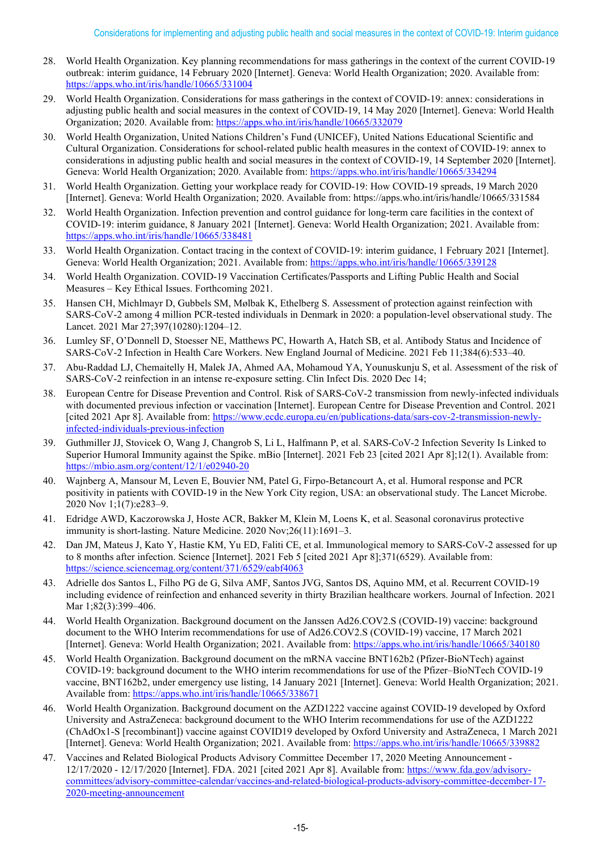- 28. World Health Organization. Key planning recommendations for mass gatherings in the context of the current COVID-19 outbreak: interim guidance, 14 February 2020 [Internet]. Geneva: World Health Organization; 2020. Available from: <https://apps.who.int/iris/handle/10665/331004>
- 29. World Health Organization. Considerations for mass gatherings in the context of COVID-19: annex: considerations in adjusting public health and social measures in the context of COVID-19, 14 May 2020 [Internet]. Geneva: World Health Organization; 2020. Available from:<https://apps.who.int/iris/handle/10665/332079>
- 30. World Health Organization, United Nations Children's Fund (UNICEF), United Nations Educational Scientific and Cultural Organization. Considerations for school-related public health measures in the context of COVID-19: annex to considerations in adjusting public health and social measures in the context of COVID-19, 14 September 2020 [Internet]. Geneva: World Health Organization; 2020. Available from:<https://apps.who.int/iris/handle/10665/334294>
- 31. World Health Organization. Getting your workplace ready for COVID-19: How COVID-19 spreads, 19 March 2020 [Internet]. Geneva: World Health Organization; 2020. Available from: https://apps.who.int/iris/handle/10665/331584
- 32. World Health Organization. Infection prevention and control guidance for long-term care facilities in the context of COVID-19: interim guidance, 8 January 2021 [Internet]. Geneva: World Health Organization; 2021. Available from: <https://apps.who.int/iris/handle/10665/338481>
- 33. World Health Organization. Contact tracing in the context of COVID-19: interim guidance, 1 February 2021 [Internet]. Geneva: World Health Organization; 2021. Available from:<https://apps.who.int/iris/handle/10665/339128>
- 34. World Health Organization. COVID-19 Vaccination Certificates/Passports and Lifting Public Health and Social Measures – Key Ethical Issues. Forthcoming 2021.
- 35. Hansen CH, Michlmayr D, Gubbels SM, Mølbak K, Ethelberg S. Assessment of protection against reinfection with SARS-CoV-2 among 4 million PCR-tested individuals in Denmark in 2020: a population-level observational study. The Lancet. 2021 Mar 27;397(10280):1204–12.
- 36. Lumley SF, O'Donnell D, Stoesser NE, Matthews PC, Howarth A, Hatch SB, et al. Antibody Status and Incidence of SARS-CoV-2 Infection in Health Care Workers. New England Journal of Medicine. 2021 Feb 11;384(6):533–40.
- 37. Abu-Raddad LJ, Chemaitelly H, Malek JA, Ahmed AA, Mohamoud YA, Younuskunju S, et al. Assessment of the risk of SARS-CoV-2 reinfection in an intense re-exposure setting. Clin Infect Dis. 2020 Dec 14;
- 38. European Centre for Disease Prevention and Control. Risk of SARS-CoV-2 transmission from newly-infected individuals with documented previous infection or vaccination [Internet]. European Centre for Disease Prevention and Control. 2021 [cited 2021 Apr 8]. Available from[: https://www.ecdc.europa.eu/en/publications-data/sars-cov-2-transmission-newly](https://www.ecdc.europa.eu/en/publications-data/sars-cov-2-transmission-newly-infected-individuals-previous-infection)[infected-individuals-previous-infection](https://www.ecdc.europa.eu/en/publications-data/sars-cov-2-transmission-newly-infected-individuals-previous-infection)
- 39. Guthmiller JJ, Stovicek O, Wang J, Changrob S, Li L, Halfmann P, et al. SARS-CoV-2 Infection Severity Is Linked to Superior Humoral Immunity against the Spike. mBio [Internet]. 2021 Feb 23 [cited 2021 Apr 8];12(1). Available from: <https://mbio.asm.org/content/12/1/e02940-20>
- 40. Wajnberg A, Mansour M, Leven E, Bouvier NM, Patel G, Firpo-Betancourt A, et al. Humoral response and PCR positivity in patients with COVID-19 in the New York City region, USA: an observational study. The Lancet Microbe. 2020 Nov 1;1(7):e283–9.
- 41. Edridge AWD, Kaczorowska J, Hoste ACR, Bakker M, Klein M, Loens K, et al. Seasonal coronavirus protective immunity is short-lasting. Nature Medicine. 2020 Nov;26(11):1691–3.
- 42. Dan JM, Mateus J, Kato Y, Hastie KM, Yu ED, Faliti CE, et al. Immunological memory to SARS-CoV-2 assessed for up to 8 months after infection. Science [Internet]. 2021 Feb 5 [cited 2021 Apr 8];371(6529). Available from: <https://science.sciencemag.org/content/371/6529/eabf4063>
- 43. Adrielle dos Santos L, Filho PG de G, Silva AMF, Santos JVG, Santos DS, Aquino MM, et al. Recurrent COVID-19 including evidence of reinfection and enhanced severity in thirty Brazilian healthcare workers. Journal of Infection. 2021 Mar 1;82(3):399-406.
- 44. World Health Organization. Background document on the Janssen Ad26.COV2.S (COVID-19) vaccine: background document to the WHO Interim recommendations for use of Ad26.COV2.S (COVID-19) vaccine, 17 March 2021 [Internet]. Geneva: World Health Organization; 2021. Available from[: https://apps.who.int/iris/handle/10665/340180](https://apps.who.int/iris/handle/10665/340180)
- 45. World Health Organization. Background document on the mRNA vaccine BNT162b2 (Pfizer-BioNTech) against COVID-19: background document to the WHO interim recommendations for use of the Pfizer–BioNTech COVID-19 vaccine, BNT162b2, under emergency use listing, 14 January 2021 [Internet]. Geneva: World Health Organization; 2021. Available from[: https://apps.who.int/iris/handle/10665/338671](https://apps.who.int/iris/handle/10665/338671)
- 46. World Health Organization. Background document on the AZD1222 vaccine against COVID-19 developed by Oxford University and AstraZeneca: background document to the WHO Interim recommendations for use of the AZD1222 (ChAdOx1-S [recombinant]) vaccine against COVID19 developed by Oxford University and AstraZeneca, 1 March 2021 [Internet]. Geneva: World Health Organization; 2021. Available from[: https://apps.who.int/iris/handle/10665/339882](https://apps.who.int/iris/handle/10665/339882)
- 47. Vaccines and Related Biological Products Advisory Committee December 17, 2020 Meeting Announcement 12/17/2020 - 12/17/2020 [Internet]. FDA. 2021 [cited 2021 Apr 8]. Available from[: https://www.fda.gov/advisory](https://www.fda.gov/advisory-committees/advisory-committee-calendar/vaccines-and-related-biological-products-advisory-committee-december-17-2020-meeting-announcement)[committees/advisory-committee-calendar/vaccines-and-related-biological-products-advisory-committee-december-17-](https://www.fda.gov/advisory-committees/advisory-committee-calendar/vaccines-and-related-biological-products-advisory-committee-december-17-2020-meeting-announcement) [2020-meeting-announcement](https://www.fda.gov/advisory-committees/advisory-committee-calendar/vaccines-and-related-biological-products-advisory-committee-december-17-2020-meeting-announcement)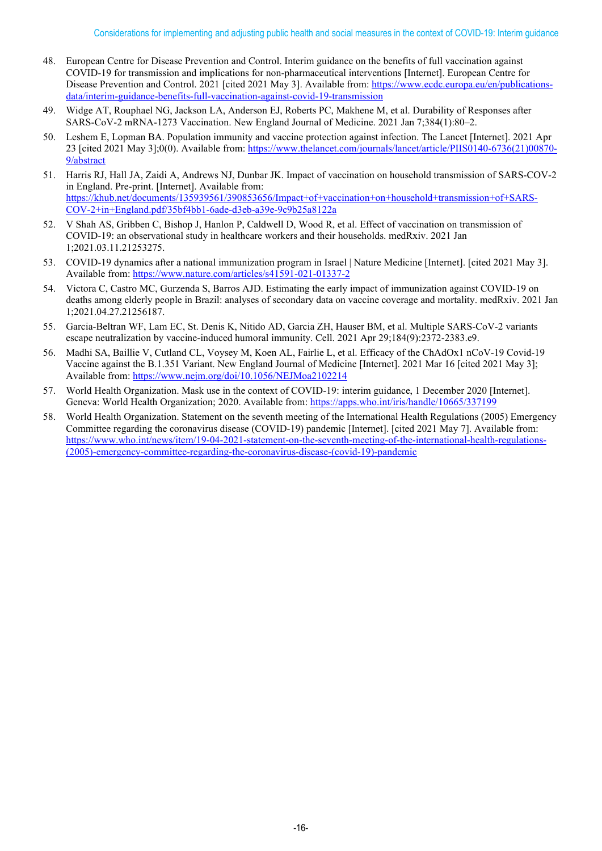- 48. European Centre for Disease Prevention and Control. Interim guidance on the benefits of full vaccination against COVID-19 for transmission and implications for non-pharmaceutical interventions [Internet]. European Centre for Disease Prevention and Control. 2021 [cited 2021 May 3]. Available from[: https://www.ecdc.europa.eu/en/publications](https://www.ecdc.europa.eu/en/publications-data/interim-guidance-benefits-full-vaccination-against-covid-19-transmission)[data/interim-guidance-benefits-full-vaccination-against-covid-19-transmission](https://www.ecdc.europa.eu/en/publications-data/interim-guidance-benefits-full-vaccination-against-covid-19-transmission)
- 49. Widge AT, Rouphael NG, Jackson LA, Anderson EJ, Roberts PC, Makhene M, et al. Durability of Responses after SARS-CoV-2 mRNA-1273 Vaccination. New England Journal of Medicine. 2021 Jan 7;384(1):80–2.
- 50. Leshem E, Lopman BA. Population immunity and vaccine protection against infection. The Lancet [Internet]. 2021 Apr 23 [cited 2021 May 3];0(0). Available from: [https://www.thelancet.com/journals/lancet/article/PIIS0140-6736\(21\)00870-](https://www.thelancet.com/journals/lancet/article/PIIS0140-6736(21)00870-9/abstract) [9/abstract](https://www.thelancet.com/journals/lancet/article/PIIS0140-6736(21)00870-9/abstract)
- 51. Harris RJ, Hall JA, Zaidi A, Andrews NJ, Dunbar JK. Impact of vaccination on household transmission of SARS-COV-2 in England. Pre-print. [Internet]. Available from: [https://khub.net/documents/135939561/390853656/Impact+of+vaccination+on+household+transmission+of+SARS-](https://khub.net/documents/135939561/390853656/Impact+of+vaccination+on+household+transmission+of+SARS-COV-2+in+England.pdf/35bf4bb1-6ade-d3eb-a39e-9c9b25a8122a)[COV-2+in+England.pdf/35bf4bb1-6ade-d3eb-a39e-9c9b25a8122a](https://khub.net/documents/135939561/390853656/Impact+of+vaccination+on+household+transmission+of+SARS-COV-2+in+England.pdf/35bf4bb1-6ade-d3eb-a39e-9c9b25a8122a)
- 52. V Shah AS, Gribben C, Bishop J, Hanlon P, Caldwell D, Wood R, et al. Effect of vaccination on transmission of COVID-19: an observational study in healthcare workers and their households. medRxiv. 2021 Jan 1;2021.03.11.21253275.
- 53. COVID-19 dynamics after a national immunization program in Israel | Nature Medicine [Internet]. [cited 2021 May 3]. Available from[: https://www.nature.com/articles/s41591-021-01337-2](https://www.nature.com/articles/s41591-021-01337-2)
- 54. Victora C, Castro MC, Gurzenda S, Barros AJD. Estimating the early impact of immunization against COVID-19 on deaths among elderly people in Brazil: analyses of secondary data on vaccine coverage and mortality. medRxiv. 2021 Jan 1;2021.04.27.21256187.
- 55. Garcia-Beltran WF, Lam EC, St. Denis K, Nitido AD, Garcia ZH, Hauser BM, et al. Multiple SARS-CoV-2 variants escape neutralization by vaccine-induced humoral immunity. Cell. 2021 Apr 29;184(9):2372-2383.e9.
- 56. Madhi SA, Baillie V, Cutland CL, Voysey M, Koen AL, Fairlie L, et al. Efficacy of the ChAdOx1 nCoV-19 Covid-19 Vaccine against the B.1.351 Variant. New England Journal of Medicine [Internet]. 2021 Mar 16 [cited 2021 May 3]; Available from:<https://www.nejm.org/doi/10.1056/NEJMoa2102214>
- 57. World Health Organization. Mask use in the context of COVID-19: interim guidance, 1 December 2020 [Internet]. Geneva: World Health Organization; 2020. Available from:<https://apps.who.int/iris/handle/10665/337199>
- 58. World Health Organization. Statement on the seventh meeting of the International Health Regulations (2005) Emergency Committee regarding the coronavirus disease (COVID-19) pandemic [Internet]. [cited 2021 May 7]. Available from: [https://www.who.int/news/item/19-04-2021-statement-on-the-seventh-meeting-of-the-international-health-regulations-](https://www.who.int/news/item/19-04-2021-statement-on-the-seventh-meeting-of-the-international-health-regulations-(2005)-emergency-committee-regarding-the-coronavirus-disease-(covid-19)-pandemic) [\(2005\)-emergency-committee-regarding-the-coronavirus-disease-\(covid-19\)-pandemic](https://www.who.int/news/item/19-04-2021-statement-on-the-seventh-meeting-of-the-international-health-regulations-(2005)-emergency-committee-regarding-the-coronavirus-disease-(covid-19)-pandemic)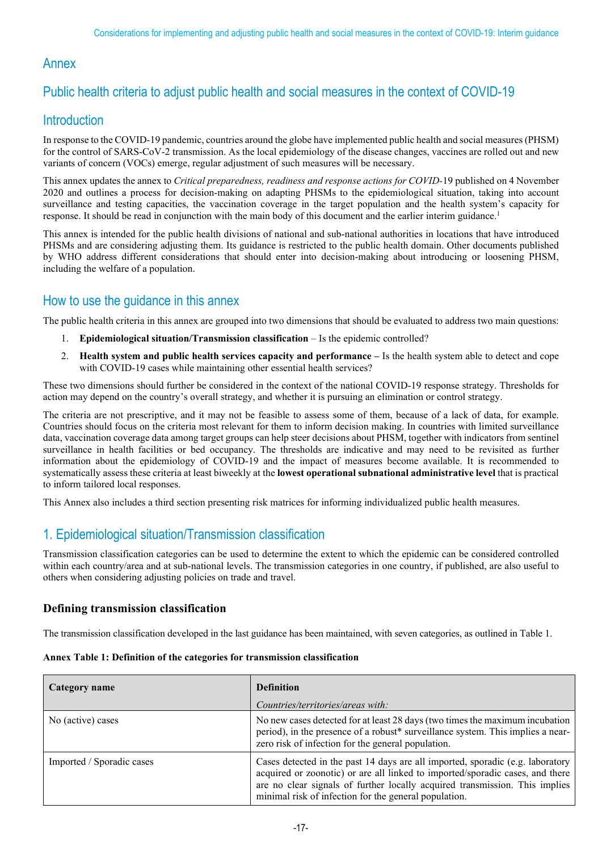# Annex

# Public health criteria to adjust public health and social measures in the context of COVID-19

# **Introduction**

In response to the COVID-19 pandemic, countries around the globe have implemented public health and social measures (PHSM) for the control of SARS-CoV-2 transmission. As the local epidemiology of the disease changes, vaccines are rolled out and new variants of concern (VOCs) emerge, regular adjustment of such measures will be necessary.

This annex updates the annex to *Critical preparedness, readiness and response actions for COVID-*19 published on 4 November 2020 and outlines a process for decision-making on adapting PHSMs to the epidemiological situation, taking into account surveillance and testing capacities, the vaccination coverage in the target population and the health system's capacity for response. It should be read in conjunction with the main body of this document and the earlier interim guidance.1

This annex is intended for the public health divisions of national and sub-national authorities in locations that have introduced PHSMs and are considering adjusting them. Its guidance is restricted to the public health domain. Other documents published by WHO address different considerations that should enter into decision-making about introducing or loosening PHSM, including the welfare of a population.

# How to use the guidance in this annex

The public health criteria in this annex are grouped into two dimensions that should be evaluated to address two main questions:

- 1. **Epidemiological situation/Transmission classification** Is the epidemic controlled?
- 2. **Health system and public health services capacity and performance –** Is the health system able to detect and cope with COVID-19 cases while maintaining other essential health services?

These two dimensions should further be considered in the context of the national COVID-19 response strategy. Thresholds for action may depend on the country's overall strategy, and whether it is pursuing an elimination or control strategy.

The criteria are not prescriptive, and it may not be feasible to assess some of them, because of a lack of data, for example. Countries should focus on the criteria most relevant for them to inform decision making. In countries with limited surveillance data, vaccination coverage data among target groups can help steer decisions about PHSM, together with indicators from sentinel surveillance in health facilities or bed occupancy. The thresholds are indicative and may need to be revisited as further information about the epidemiology of COVID-19 and the impact of measures become available. It is recommended to systematically assess these criteria at least biweekly at the **lowest operational subnational administrative level** that is practical to inform tailored local responses.

This Annex also includes a third section presenting risk matrices for informing individualized public health measures.

# 1. Epidemiological situation/Transmission classification

Transmission classification categories can be used to determine the extent to which the epidemic can be considered controlled within each country/area and at sub-national levels. The transmission categories in one country, if published, are also useful to others when considering adjusting policies on trade and travel.

## **Defining transmission classification**

The transmission classification developed in the last guidance has been maintained, with seven categories, as outlined in Table 1.

| Annex Table 1: Definition of the categories for transmission classification |  |
|-----------------------------------------------------------------------------|--|
|-----------------------------------------------------------------------------|--|

| Category name             | <b>Definition</b>                                                                                                                                                                                                                                                                                       |  |  |
|---------------------------|---------------------------------------------------------------------------------------------------------------------------------------------------------------------------------------------------------------------------------------------------------------------------------------------------------|--|--|
|                           | Countries/territories/areas with:                                                                                                                                                                                                                                                                       |  |  |
| No (active) cases         | No new cases detected for at least 28 days (two times the maximum incubation<br>period), in the presence of a robust* surveillance system. This implies a near-<br>zero risk of infection for the general population.                                                                                   |  |  |
| Imported / Sporadic cases | Cases detected in the past 14 days are all imported, sporadic (e.g. laboratory<br>acquired or zoonotic) or are all linked to imported/sporadic cases, and there<br>are no clear signals of further locally acquired transmission. This implies<br>minimal risk of infection for the general population. |  |  |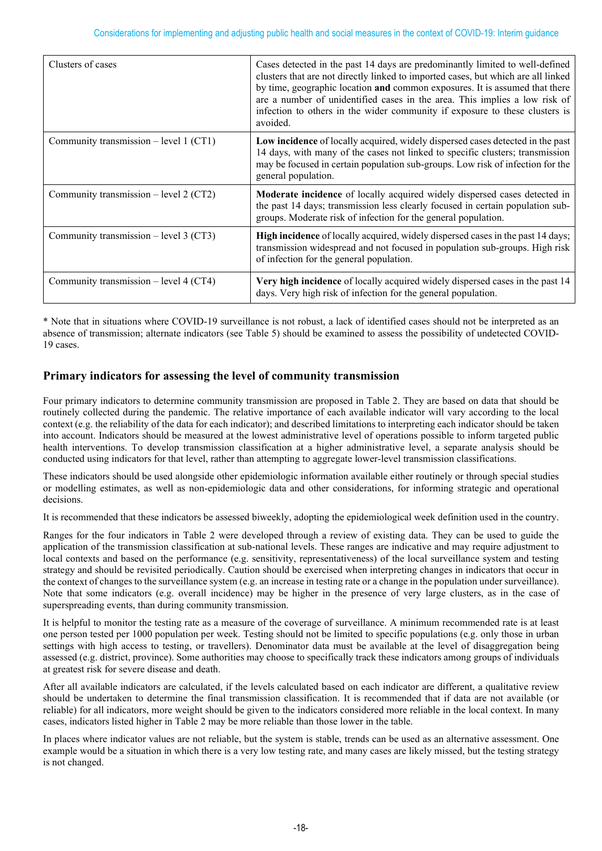| Clusters of cases                        | Cases detected in the past 14 days are predominantly limited to well-defined<br>clusters that are not directly linked to imported cases, but which are all linked<br>by time, geographic location and common exposures. It is assumed that there<br>are a number of unidentified cases in the area. This implies a low risk of<br>infection to others in the wider community if exposure to these clusters is<br>avoided. |
|------------------------------------------|---------------------------------------------------------------------------------------------------------------------------------------------------------------------------------------------------------------------------------------------------------------------------------------------------------------------------------------------------------------------------------------------------------------------------|
| Community transmission $-$ level 1 (CT1) | Low incidence of locally acquired, widely dispersed cases detected in the past<br>14 days, with many of the cases not linked to specific clusters; transmission<br>may be focused in certain population sub-groups. Low risk of infection for the<br>general population.                                                                                                                                                  |
| Community transmission $-$ level 2 (CT2) | Moderate incidence of locally acquired widely dispersed cases detected in<br>the past 14 days; transmission less clearly focused in certain population sub-<br>groups. Moderate risk of infection for the general population.                                                                                                                                                                                             |
| Community transmission $-$ level 3 (CT3) | <b>High incidence</b> of locally acquired, widely dispersed cases in the past 14 days;<br>transmission widespread and not focused in population sub-groups. High risk<br>of infection for the general population.                                                                                                                                                                                                         |
| Community transmission $-$ level 4 (CT4) | Very high incidence of locally acquired widely dispersed cases in the past 14<br>days. Very high risk of infection for the general population.                                                                                                                                                                                                                                                                            |

\* Note that in situations where COVID-19 surveillance is not robust, a lack of identified cases should not be interpreted as an absence of transmission; alternate indicators (see Table 5) should be examined to assess the possibility of undetected COVID-19 cases.

## **Primary indicators for assessing the level of community transmission**

Four primary indicators to determine community transmission are proposed in Table 2. They are based on data that should be routinely collected during the pandemic. The relative importance of each available indicator will vary according to the local context (e.g. the reliability of the data for each indicator); and described limitations to interpreting each indicator should be taken into account. Indicators should be measured at the lowest administrative level of operations possible to inform targeted public health interventions. To develop transmission classification at a higher administrative level, a separate analysis should be conducted using indicators for that level, rather than attempting to aggregate lower-level transmission classifications.

These indicators should be used alongside other epidemiologic information available either routinely or through special studies or modelling estimates, as well as non-epidemiologic data and other considerations, for informing strategic and operational decisions.

It is recommended that these indicators be assessed biweekly, adopting the epidemiological week definition used in the country.

Ranges for the four indicators in Table 2 were developed through a review of existing data. They can be used to guide the application of the transmission classification at sub-national levels. These ranges are indicative and may require adjustment to local contexts and based on the performance (e.g. sensitivity, representativeness) of the local surveillance system and testing strategy and should be revisited periodically. Caution should be exercised when interpreting changes in indicators that occur in the context of changes to the surveillance system (e.g. an increase in testing rate or a change in the population under surveillance). Note that some indicators (e.g. overall incidence) may be higher in the presence of very large clusters, as in the case of superspreading events, than during community transmission.

It is helpful to monitor the testing rate as a measure of the coverage of surveillance. A minimum recommended rate is at least one person tested per 1000 population per week. Testing should not be limited to specific populations (e.g. only those in urban settings with high access to testing, or travellers). Denominator data must be available at the level of disaggregation being assessed (e.g. district, province). Some authorities may choose to specifically track these indicators among groups of individuals at greatest risk for severe disease and death.

After all available indicators are calculated, if the levels calculated based on each indicator are different, a qualitative review should be undertaken to determine the final transmission classification. It is recommended that if data are not available (or reliable) for all indicators, more weight should be given to the indicators considered more reliable in the local context. In many cases, indicators listed higher in Table 2 may be more reliable than those lower in the table.

In places where indicator values are not reliable, but the system is stable, trends can be used as an alternative assessment. One example would be a situation in which there is a very low testing rate, and many cases are likely missed, but the testing strategy is not changed.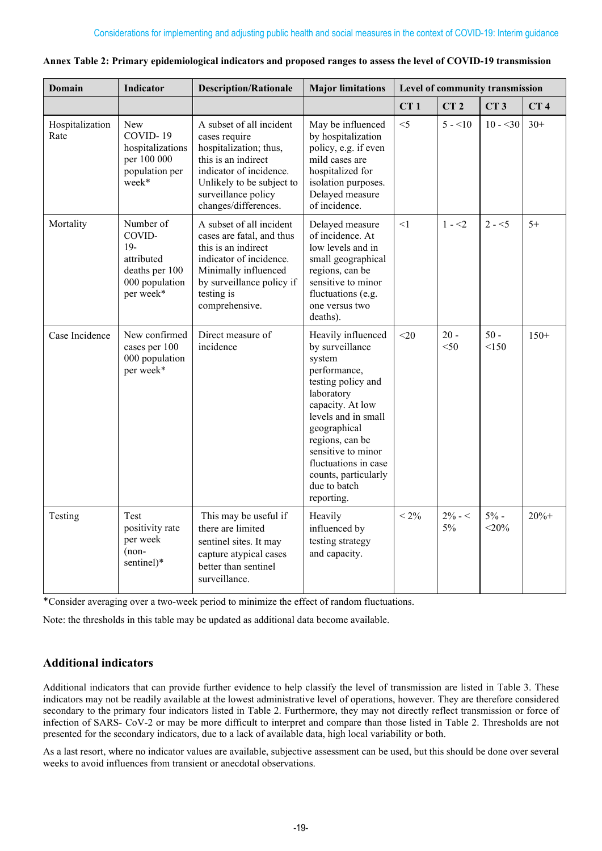| Domain                  | <b>Indicator</b>                                                                            | <b>Description/Rationale</b>                                                                                                                                                                      | <b>Major limitations</b>                                                                                                                                                                                                                                                              | Level of community transmission |                  |                   |                 |
|-------------------------|---------------------------------------------------------------------------------------------|---------------------------------------------------------------------------------------------------------------------------------------------------------------------------------------------------|---------------------------------------------------------------------------------------------------------------------------------------------------------------------------------------------------------------------------------------------------------------------------------------|---------------------------------|------------------|-------------------|-----------------|
|                         |                                                                                             |                                                                                                                                                                                                   |                                                                                                                                                                                                                                                                                       | CT1                             | CT <sub>2</sub>  | CT3               | CT <sub>4</sub> |
| Hospitalization<br>Rate | <b>New</b><br>COVID-19<br>hospitalizations<br>per 100 000<br>population per<br>week*        | A subset of all incident<br>cases require<br>hospitalization; thus,<br>this is an indirect<br>indicator of incidence.<br>Unlikely to be subject to<br>surveillance policy<br>changes/differences. | May be influenced<br>by hospitalization<br>policy, e.g. if even<br>mild cases are<br>hospitalized for<br>isolation purposes.<br>Delayed measure<br>of incidence.                                                                                                                      | $<$ 5                           | $5 - 10$         | $10 - 30$         | $30+$           |
| Mortality               | Number of<br>COVID-<br>$19-$<br>attributed<br>deaths per 100<br>000 population<br>per week* | A subset of all incident<br>cases are fatal, and thus<br>this is an indirect<br>indicator of incidence.<br>Minimally influenced<br>by surveillance policy if<br>testing is<br>comprehensive.      | Delayed measure<br>of incidence. At<br>low levels and in<br>small geographical<br>regions, can be<br>sensitive to minor<br>fluctuations (e.g.<br>one versus two<br>deaths).                                                                                                           | <1                              | $1 - 2$          | $2 - 5$           | $5+$            |
| Case Incidence          | New confirmed<br>cases per 100<br>000 population<br>per week*                               | Direct measure of<br>incidence                                                                                                                                                                    | Heavily influenced<br>by surveillance<br>system<br>performance,<br>testing policy and<br>laboratory<br>capacity. At low<br>levels and in small<br>geographical<br>regions, can be<br>sensitive to minor<br>fluctuations in case<br>counts, particularly<br>due to batch<br>reporting. | $<$ 20                          | $20 -$<br>$<$ 50 | $50 -$<br><150    | $150+$          |
| Testing                 | Test<br>positivity rate<br>per week<br>$(non-$<br>sentinel)*                                | This may be useful if<br>there are limited<br>sentinel sites. It may<br>capture atypical cases<br>better than sentinel<br>surveillance.                                                           | Heavily<br>influenced by<br>testing strategy<br>and capacity.                                                                                                                                                                                                                         | $< 2\%$                         | $2\% - 5$<br>5%  | $5% -$<br>$<$ 20% | $20% +$         |

|  | Annex Table 2: Primary epidemiological indicators and proposed ranges to assess the level of COVID-19 transmission |
|--|--------------------------------------------------------------------------------------------------------------------|
|--|--------------------------------------------------------------------------------------------------------------------|

\*Consider averaging over a two-week period to minimize the effect of random fluctuations.

Note: the thresholds in this table may be updated as additional data become available.

#### **Additional indicators**

Additional indicators that can provide further evidence to help classify the level of transmission are listed in Table 3. These indicators may not be readily available at the lowest administrative level of operations, however. They are therefore considered secondary to the primary four indicators listed in Table 2. Furthermore, they may not directly reflect transmission or force of infection of SARS- CoV-2 or may be more difficult to interpret and compare than those listed in Table 2. Thresholds are not presented for the secondary indicators, due to a lack of available data, high local variability or both.

As a last resort, where no indicator values are available, subjective assessment can be used, but this should be done over several weeks to avoid influences from transient or anecdotal observations.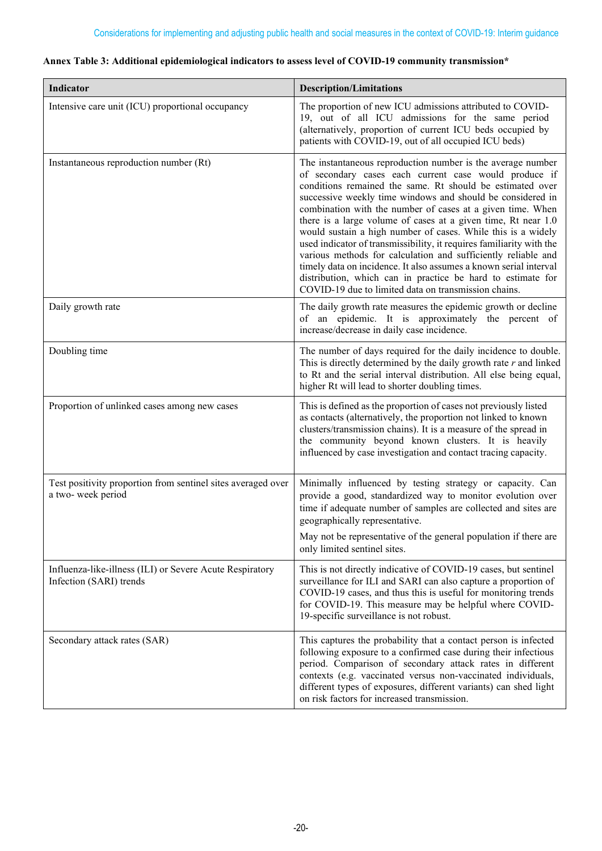| Indicator                                                                           | <b>Description/Limitations</b>                                                                                                                                                                                                                                                                                                                                                                                                                                                                                                                                                                                                                                                                                                                                                      |  |  |  |
|-------------------------------------------------------------------------------------|-------------------------------------------------------------------------------------------------------------------------------------------------------------------------------------------------------------------------------------------------------------------------------------------------------------------------------------------------------------------------------------------------------------------------------------------------------------------------------------------------------------------------------------------------------------------------------------------------------------------------------------------------------------------------------------------------------------------------------------------------------------------------------------|--|--|--|
| Intensive care unit (ICU) proportional occupancy                                    | The proportion of new ICU admissions attributed to COVID-<br>19, out of all ICU admissions for the same period<br>(alternatively, proportion of current ICU beds occupied by<br>patients with COVID-19, out of all occupied ICU beds)                                                                                                                                                                                                                                                                                                                                                                                                                                                                                                                                               |  |  |  |
| Instantaneous reproduction number (Rt)                                              | The instantaneous reproduction number is the average number<br>of secondary cases each current case would produce if<br>conditions remained the same. Rt should be estimated over<br>successive weekly time windows and should be considered in<br>combination with the number of cases at a given time. When<br>there is a large volume of cases at a given time, Rt near 1.0<br>would sustain a high number of cases. While this is a widely<br>used indicator of transmissibility, it requires familiarity with the<br>various methods for calculation and sufficiently reliable and<br>timely data on incidence. It also assumes a known serial interval<br>distribution, which can in practice be hard to estimate for<br>COVID-19 due to limited data on transmission chains. |  |  |  |
| Daily growth rate                                                                   | The daily growth rate measures the epidemic growth or decline<br>of an epidemic. It is approximately the percent of<br>increase/decrease in daily case incidence.                                                                                                                                                                                                                                                                                                                                                                                                                                                                                                                                                                                                                   |  |  |  |
| Doubling time                                                                       | The number of days required for the daily incidence to double.<br>This is directly determined by the daily growth rate $r$ and linked<br>to Rt and the serial interval distribution. All else being equal,<br>higher Rt will lead to shorter doubling times.                                                                                                                                                                                                                                                                                                                                                                                                                                                                                                                        |  |  |  |
| Proportion of unlinked cases among new cases                                        | This is defined as the proportion of cases not previously listed<br>as contacts (alternatively, the proportion not linked to known<br>clusters/transmission chains). It is a measure of the spread in<br>the community beyond known clusters. It is heavily<br>influenced by case investigation and contact tracing capacity.                                                                                                                                                                                                                                                                                                                                                                                                                                                       |  |  |  |
| Test positivity proportion from sentinel sites averaged over<br>a two-week period   | Minimally influenced by testing strategy or capacity. Can<br>provide a good, standardized way to monitor evolution over<br>time if adequate number of samples are collected and sites are<br>geographically representative.<br>May not be representative of the general population if there are<br>only limited sentinel sites.                                                                                                                                                                                                                                                                                                                                                                                                                                                     |  |  |  |
| Influenza-like-illness (ILI) or Severe Acute Respiratory<br>Infection (SARI) trends | This is not directly indicative of COVID-19 cases, but sentinel<br>surveillance for ILI and SARI can also capture a proportion of<br>COVID-19 cases, and thus this is useful for monitoring trends<br>for COVID-19. This measure may be helpful where COVID-<br>19-specific surveillance is not robust.                                                                                                                                                                                                                                                                                                                                                                                                                                                                             |  |  |  |
| Secondary attack rates (SAR)                                                        | This captures the probability that a contact person is infected<br>following exposure to a confirmed case during their infectious<br>period. Comparison of secondary attack rates in different<br>contexts (e.g. vaccinated versus non-vaccinated individuals,                                                                                                                                                                                                                                                                                                                                                                                                                                                                                                                      |  |  |  |

#### **Annex Table 3: Additional epidemiological indicators to assess level of COVID-19 community transmission\***

different types of exposures, different variants) can shed light

on risk factors for increased transmission.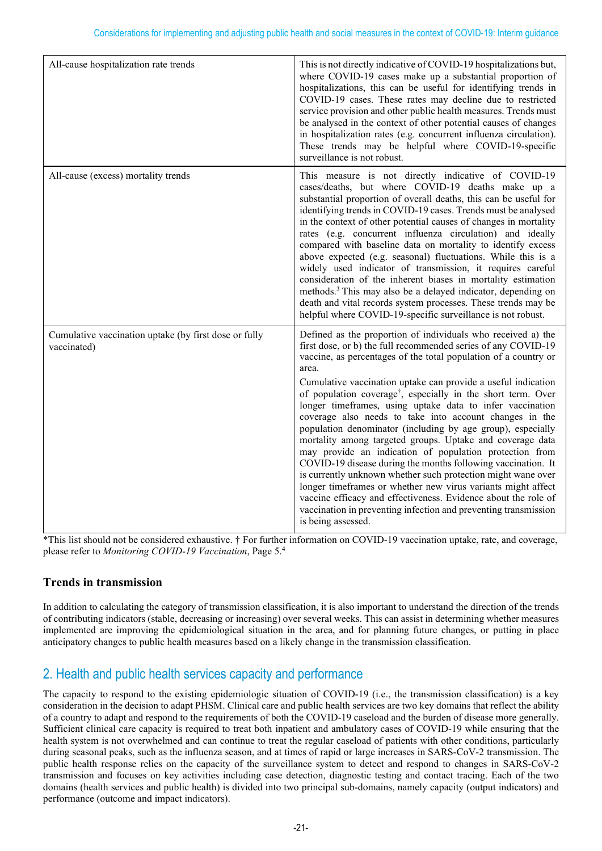| All-cause hospitalization rate trends                                | This is not directly indicative of COVID-19 hospitalizations but,<br>where COVID-19 cases make up a substantial proportion of<br>hospitalizations, this can be useful for identifying trends in<br>COVID-19 cases. These rates may decline due to restricted<br>service provision and other public health measures. Trends must<br>be analysed in the context of other potential causes of changes<br>in hospitalization rates (e.g. concurrent influenza circulation).<br>These trends may be helpful where COVID-19-specific<br>surveillance is not robust.                                                                                                                                                                                                                                                                                                                                                                                                                                                                    |
|----------------------------------------------------------------------|----------------------------------------------------------------------------------------------------------------------------------------------------------------------------------------------------------------------------------------------------------------------------------------------------------------------------------------------------------------------------------------------------------------------------------------------------------------------------------------------------------------------------------------------------------------------------------------------------------------------------------------------------------------------------------------------------------------------------------------------------------------------------------------------------------------------------------------------------------------------------------------------------------------------------------------------------------------------------------------------------------------------------------|
| All-cause (excess) mortality trends                                  | This measure is not directly indicative of COVID-19<br>cases/deaths, but where COVID-19 deaths make up a<br>substantial proportion of overall deaths, this can be useful for<br>identifying trends in COVID-19 cases. Trends must be analysed<br>in the context of other potential causes of changes in mortality<br>rates (e.g. concurrent influenza circulation) and ideally<br>compared with baseline data on mortality to identify excess<br>above expected (e.g. seasonal) fluctuations. While this is a<br>widely used indicator of transmission, it requires careful<br>consideration of the inherent biases in mortality estimation<br>methods. <sup>3</sup> This may also be a delayed indicator, depending on<br>death and vital records system processes. These trends may be<br>helpful where COVID-19-specific surveillance is not robust.                                                                                                                                                                          |
| Cumulative vaccination uptake (by first dose or fully<br>vaccinated) | Defined as the proportion of individuals who received a) the<br>first dose, or b) the full recommended series of any COVID-19<br>vaccine, as percentages of the total population of a country or<br>area.<br>Cumulative vaccination uptake can provide a useful indication<br>of population coverage <sup>†</sup> , especially in the short term. Over<br>longer timeframes, using uptake data to infer vaccination<br>coverage also needs to take into account changes in the<br>population denominator (including by age group), especially<br>mortality among targeted groups. Uptake and coverage data<br>may provide an indication of population protection from<br>COVID-19 disease during the months following vaccination. It<br>is currently unknown whether such protection might wane over<br>longer timeframes or whether new virus variants might affect<br>vaccine efficacy and effectiveness. Evidence about the role of<br>vaccination in preventing infection and preventing transmission<br>is being assessed. |

\*This list should not be considered exhaustive. † For further information on COVID-19 vaccination uptake, rate, and coverage, please refer to *Monitoring COVID-19 Vaccination*, Page 5.4

## **Trends in transmission**

In addition to calculating the category of transmission classification, it is also important to understand the direction of the trends of contributing indicators (stable, decreasing or increasing) over several weeks. This can assist in determining whether measures implemented are improving the epidemiological situation in the area, and for planning future changes, or putting in place anticipatory changes to public health measures based on a likely change in the transmission classification.

# 2. Health and public health services capacity and performance

The capacity to respond to the existing epidemiologic situation of COVID-19 (i.e., the transmission classification) is a key consideration in the decision to adapt PHSM. Clinical care and public health services are two key domains that reflect the ability of a country to adapt and respond to the requirements of both the COVID-19 caseload and the burden of disease more generally. Sufficient clinical care capacity is required to treat both inpatient and ambulatory cases of COVID-19 while ensuring that the health system is not overwhelmed and can continue to treat the regular caseload of patients with other conditions, particularly during seasonal peaks, such as the influenza season, and at times of rapid or large increases in SARS-CoV-2 transmission. The public health response relies on the capacity of the surveillance system to detect and respond to changes in SARS-CoV-2 transmission and focuses on key activities including case detection, diagnostic testing and contact tracing. Each of the two domains (health services and public health) is divided into two principal sub-domains, namely capacity (output indicators) and performance (outcome and impact indicators).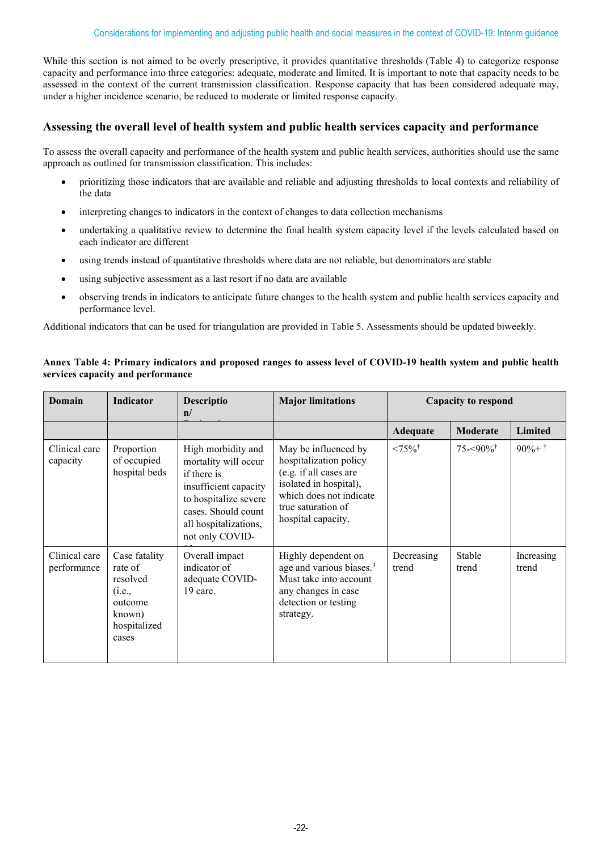While this section is not aimed to be overly prescriptive, it provides quantitative thresholds (Table 4) to categorize response capacity and performance into three categories: adequate, moderate and limited. It is important to note that capacity needs to be assessed in the context of the current transmission classification. Response capacity that has been considered adequate may, under a higher incidence scenario, be reduced to moderate or limited response capacity.

#### **Assessing the overall level of health system and public health services capacity and performance**

To assess the overall capacity and performance of the health system and public health services, authorities should use the same approach as outlined for transmission classification. This includes:

- prioritizing those indicators that are available and reliable and adjusting thresholds to local contexts and reliability of the data
- interpreting changes to indicators in the context of changes to data collection mechanisms
- undertaking a qualitative review to determine the final health system capacity level if the levels calculated based on each indicator are different
- using trends instead of quantitative thresholds where data are not reliable, but denominators are stable
- using subjective assessment as a last resort if no data are available
- observing trends in indicators to anticipate future changes to the health system and public health services capacity and performance level.

Additional indicators that can be used for triangulation are provided in Table 5. Assessments should be updated biweekly.

#### **Annex Table 4: Primary indicators and proposed ranges to assess level of COVID-19 health system and public health services capacity and performance**

| Domain                       | <b>Indicator</b>                                                                             | Descriptio<br>$\mathbf{n}/$                                                                                                                                                    | <b>Major limitations</b>                                                                                                                                                  | <b>Capacity to respond</b> |                          |                     |
|------------------------------|----------------------------------------------------------------------------------------------|--------------------------------------------------------------------------------------------------------------------------------------------------------------------------------|---------------------------------------------------------------------------------------------------------------------------------------------------------------------------|----------------------------|--------------------------|---------------------|
|                              |                                                                                              |                                                                                                                                                                                |                                                                                                                                                                           | Adequate                   | Moderate                 | Limited             |
| Clinical care<br>capacity    | Proportion<br>of occupied<br>hospital beds                                                   | High morbidity and<br>mortality will occur<br>if there is<br>insufficient capacity<br>to hospitalize severe<br>cases. Should count<br>all hospitalizations,<br>not only COVID- | May be influenced by<br>hospitalization policy<br>(e.g. if all cases are<br>isolated in hospital),<br>which does not indicate<br>true saturation of<br>hospital capacity. | $<75\%$ <sup>†</sup>       | $75 - 90\%$ <sup>†</sup> | $90\% +$ †          |
| Clinical care<br>performance | Case fatality<br>rate of<br>resolved<br>(i.e.,<br>outcome<br>known)<br>hospitalized<br>cases | Overall impact<br>indicator of<br>adequate COVID-<br>19 care.                                                                                                                  | Highly dependent on<br>age and various biases. <sup>3</sup><br>Must take into account<br>any changes in case<br>detection or testing<br>strategy.                         | Decreasing<br>trend        | Stable<br>trend          | Increasing<br>trend |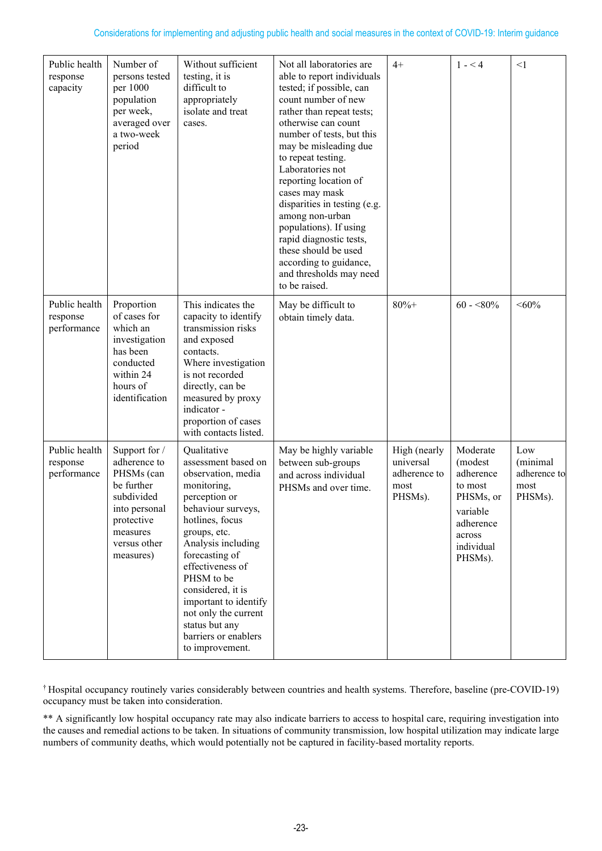| Public health<br>response<br>capacity    | Number of<br>persons tested<br>per 1000<br>population<br>per week,<br>averaged over<br>a two-week<br>period                                     | Without sufficient<br>testing, it is<br>difficult to<br>appropriately<br>isolate and treat<br>cases.                                                                                                                                                                                                                                                           | Not all laboratories are<br>able to report individuals<br>tested; if possible, can<br>count number of new<br>rather than repeat tests;<br>otherwise can count<br>number of tests, but this<br>may be misleading due<br>to repeat testing.<br>Laboratories not<br>reporting location of<br>cases may mask<br>disparities in testing (e.g.<br>among non-urban<br>populations). If using<br>rapid diagnostic tests,<br>these should be used<br>according to guidance,<br>and thresholds may need<br>to be raised. | $4+$                                                         | $1 - 4$                                                                                                              | $\leq$ 1                                           |
|------------------------------------------|-------------------------------------------------------------------------------------------------------------------------------------------------|----------------------------------------------------------------------------------------------------------------------------------------------------------------------------------------------------------------------------------------------------------------------------------------------------------------------------------------------------------------|----------------------------------------------------------------------------------------------------------------------------------------------------------------------------------------------------------------------------------------------------------------------------------------------------------------------------------------------------------------------------------------------------------------------------------------------------------------------------------------------------------------|--------------------------------------------------------------|----------------------------------------------------------------------------------------------------------------------|----------------------------------------------------|
| Public health<br>response<br>performance | Proportion<br>of cases for<br>which an<br>investigation<br>has been<br>conducted<br>within 24<br>hours of<br>identification                     | This indicates the<br>capacity to identify<br>transmission risks<br>and exposed<br>contacts.<br>Where investigation<br>is not recorded<br>directly, can be<br>measured by proxy<br>indicator -<br>proportion of cases<br>with contacts listed.                                                                                                                 | May be difficult to<br>obtain timely data.                                                                                                                                                                                                                                                                                                                                                                                                                                                                     | $80% +$                                                      | $60 - 80\%$                                                                                                          | $<\!\!60\!\%$                                      |
| Public health<br>response<br>performance | Support for /<br>adherence to<br>PHSMs (can<br>be further<br>subdivided<br>into personal<br>protective<br>measures<br>versus other<br>measures) | Qualitative<br>assessment based on<br>observation, media<br>monitoring,<br>perception or<br>behaviour surveys,<br>hotlines, focus<br>groups, etc.<br>Analysis including<br>forecasting of<br>effectiveness of<br>PHSM to be<br>considered, it is<br>important to identify<br>not only the current<br>status but any<br>barriers or enablers<br>to improvement. | May be highly variable<br>between sub-groups<br>and across individual<br>PHSMs and over time.                                                                                                                                                                                                                                                                                                                                                                                                                  | High (nearly<br>universal<br>adherence to<br>most<br>PHSMs). | Moderate<br>(modest<br>adherence<br>to most<br>PHSMs, or<br>variable<br>adherence<br>across<br>individual<br>PHSMs). | Low<br>(minimal<br>adherence to<br>most<br>PHSMs). |

† Hospital occupancy routinely varies considerably between countries and health systems. Therefore, baseline (pre-COVID-19) occupancy must be taken into consideration.

\*\* A significantly low hospital occupancy rate may also indicate barriers to access to hospital care, requiring investigation into the causes and remedial actions to be taken. In situations of community transmission, low hospital utilization may indicate large numbers of community deaths, which would potentially not be captured in facility-based mortality reports.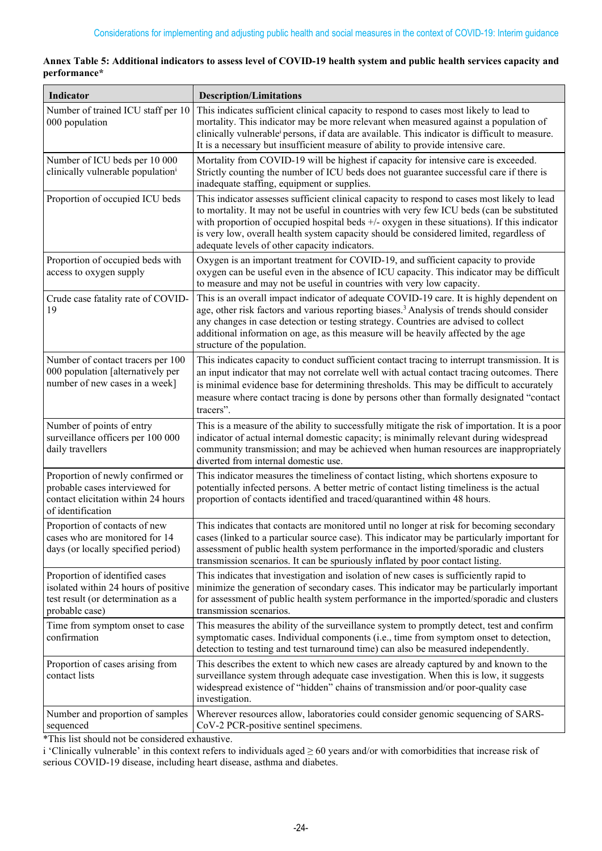| Indicator                                                                                                                      | <b>Description/Limitations</b>                                                                                                                                                                                                                                                                                                                                                                                                           |
|--------------------------------------------------------------------------------------------------------------------------------|------------------------------------------------------------------------------------------------------------------------------------------------------------------------------------------------------------------------------------------------------------------------------------------------------------------------------------------------------------------------------------------------------------------------------------------|
| Number of trained ICU staff per 10<br>000 population                                                                           | This indicates sufficient clinical capacity to respond to cases most likely to lead to<br>mortality. This indicator may be more relevant when measured against a population of<br>clinically vulnerable <sup>i</sup> persons, if data are available. This indicator is difficult to measure.<br>It is a necessary but insufficient measure of ability to provide intensive care.                                                         |
| Number of ICU beds per 10 000<br>clinically vulnerable population <sup>i</sup>                                                 | Mortality from COVID-19 will be highest if capacity for intensive care is exceeded.<br>Strictly counting the number of ICU beds does not guarantee successful care if there is<br>inadequate staffing, equipment or supplies.                                                                                                                                                                                                            |
| Proportion of occupied ICU beds                                                                                                | This indicator assesses sufficient clinical capacity to respond to cases most likely to lead<br>to mortality. It may not be useful in countries with very few ICU beds (can be substituted<br>with proportion of occupied hospital beds $+/-$ oxygen in these situations). If this indicator<br>is very low, overall health system capacity should be considered limited, regardless of<br>adequate levels of other capacity indicators. |
| Proportion of occupied beds with<br>access to oxygen supply                                                                    | Oxygen is an important treatment for COVID-19, and sufficient capacity to provide<br>oxygen can be useful even in the absence of ICU capacity. This indicator may be difficult<br>to measure and may not be useful in countries with very low capacity.                                                                                                                                                                                  |
| Crude case fatality rate of COVID-<br>19                                                                                       | This is an overall impact indicator of adequate COVID-19 care. It is highly dependent on<br>age, other risk factors and various reporting biases. <sup>3</sup> Analysis of trends should consider<br>any changes in case detection or testing strategy. Countries are advised to collect<br>additional information on age, as this measure will be heavily affected by the age<br>structure of the population.                           |
| Number of contact tracers per 100<br>000 population [alternatively per<br>number of new cases in a week]                       | This indicates capacity to conduct sufficient contact tracing to interrupt transmission. It is<br>an input indicator that may not correlate well with actual contact tracing outcomes. There<br>is minimal evidence base for determining thresholds. This may be difficult to accurately<br>measure where contact tracing is done by persons other than formally designated "contact<br>tracers".                                        |
| Number of points of entry<br>surveillance officers per 100 000<br>daily travellers                                             | This is a measure of the ability to successfully mitigate the risk of importation. It is a poor<br>indicator of actual internal domestic capacity; is minimally relevant during widespread<br>community transmission; and may be achieved when human resources are inappropriately<br>diverted from internal domestic use.                                                                                                               |
| Proportion of newly confirmed or<br>probable cases interviewed for<br>contact elicitation within 24 hours<br>of identification | This indicator measures the timeliness of contact listing, which shortens exposure to<br>potentially infected persons. A better metric of contact listing timeliness is the actual<br>proportion of contacts identified and traced/quarantined within 48 hours.                                                                                                                                                                          |
| Proportion of contacts of new<br>cases who are monitored for 14<br>days (or locally specified period)                          | This indicates that contacts are monitored until no longer at risk for becoming secondary<br>cases (linked to a particular source case). This indicator may be particularly important for<br>assessment of public health system performance in the imported/sporadic and clusters<br>transmission scenarios. It can be spuriously inflated by poor contact listing.                                                                      |
| Proportion of identified cases<br>isolated within 24 hours of positive<br>test result (or determination as a<br>probable case) | This indicates that investigation and isolation of new cases is sufficiently rapid to<br>minimize the generation of secondary cases. This indicator may be particularly important<br>for assessment of public health system performance in the imported/sporadic and clusters<br>transmission scenarios.                                                                                                                                 |
| Time from symptom onset to case<br>confirmation                                                                                | This measures the ability of the surveillance system to promptly detect, test and confirm<br>symptomatic cases. Individual components (i.e., time from symptom onset to detection,<br>detection to testing and test turnaround time) can also be measured independently.                                                                                                                                                                 |
| Proportion of cases arising from<br>contact lists                                                                              | This describes the extent to which new cases are already captured by and known to the<br>surveillance system through adequate case investigation. When this is low, it suggests<br>widespread existence of "hidden" chains of transmission and/or poor-quality case<br>investigation.                                                                                                                                                    |
| Number and proportion of samples<br>sequenced                                                                                  | Wherever resources allow, laboratories could consider genomic sequencing of SARS-<br>CoV-2 PCR-positive sentinel specimens.                                                                                                                                                                                                                                                                                                              |

|              |  | Annex Table 5: Additional indicators to assess level of COVID-19 health system and public health services capacity and |  |
|--------------|--|------------------------------------------------------------------------------------------------------------------------|--|
| performance* |  |                                                                                                                        |  |

\*This list should not be considered exhaustive.

i 'Clinically vulnerable' in this context refers to individuals aged ≥ 60 years and/or with comorbidities that increase risk of serious COVID-19 disease, including heart disease, asthma and diabetes.